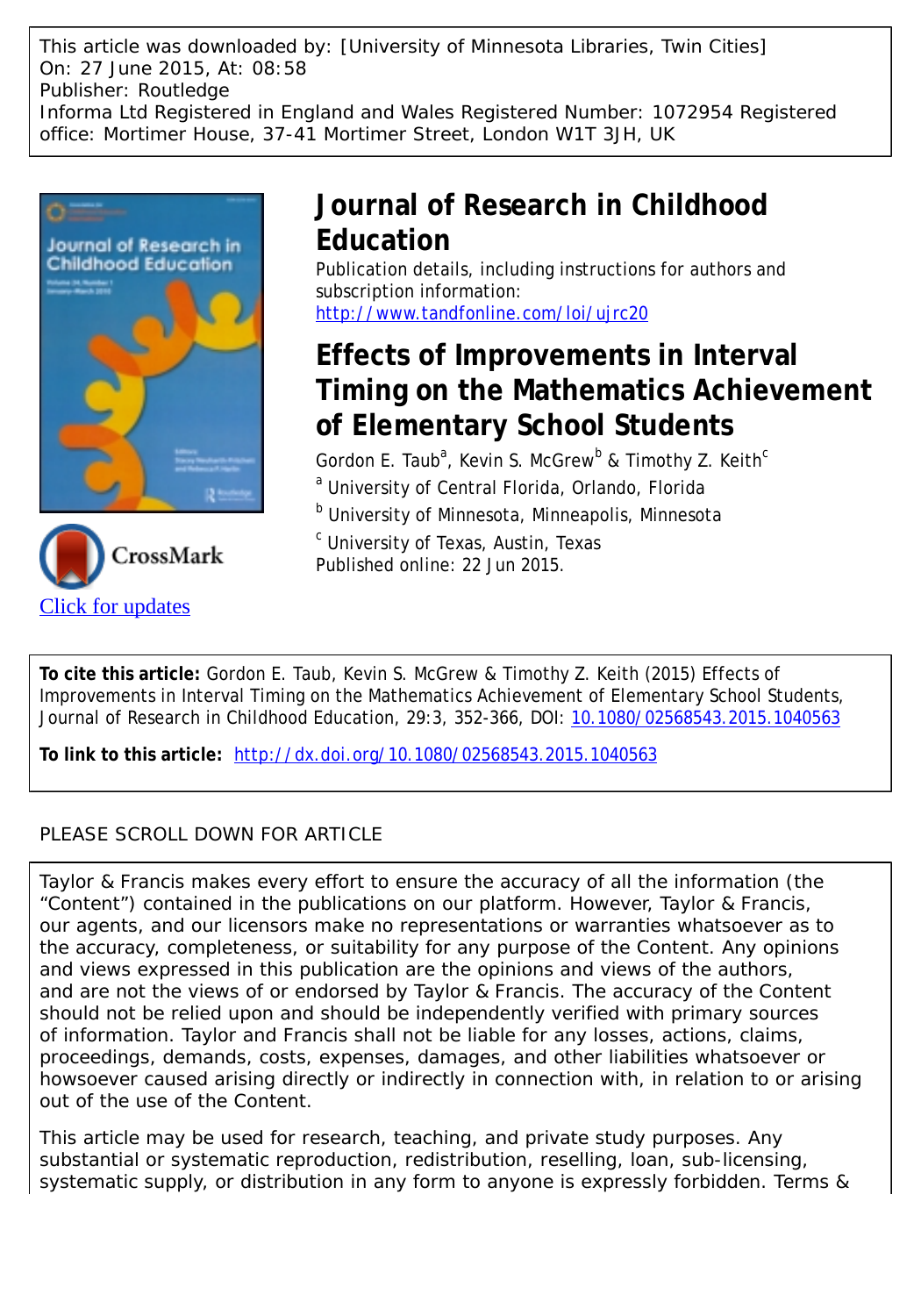This article was downloaded by: [University of Minnesota Libraries, Twin Cities] On: 27 June 2015, At: 08:58 Publisher: Routledge Informa Ltd Registered in England and Wales Registered Number: 1072954 Registered office: Mortimer House, 37-41 Mortimer Street, London W1T 3JH, UK





# **Journal of Research in Childhood Education**

Publication details, including instructions for authors and subscription information: <http://www.tandfonline.com/loi/ujrc20>

# **Effects of Improvements in Interval Timing on the Mathematics Achievement of Elementary School Students**

Gordon E. Taub<sup>a</sup>, Kevin S. McGrew<sup>b</sup> & Timothy Z. Keith<sup>c</sup> <sup>a</sup> University of Central Florida, Orlando, Florida

<sup>b</sup> University of Minnesota, Minneapolis, Minnesota

<sup>c</sup> University of Texas, Austin, Texas

Published online: 22 Jun 2015.

**To cite this article:** Gordon E. Taub, Kevin S. McGrew & Timothy Z. Keith (2015) Effects of Improvements in Interval Timing on the Mathematics Achievement of Elementary School Students, Journal of Research in Childhood Education, 29:3, 352-366, DOI: [10.1080/02568543.2015.1040563](http://www.tandfonline.com/action/showCitFormats?doi=10.1080/02568543.2015.1040563)

**To link to this article:** <http://dx.doi.org/10.1080/02568543.2015.1040563>

# PLEASE SCROLL DOWN FOR ARTICLE

Taylor & Francis makes every effort to ensure the accuracy of all the information (the "Content") contained in the publications on our platform. However, Taylor & Francis, our agents, and our licensors make no representations or warranties whatsoever as to the accuracy, completeness, or suitability for any purpose of the Content. Any opinions and views expressed in this publication are the opinions and views of the authors, and are not the views of or endorsed by Taylor & Francis. The accuracy of the Content should not be relied upon and should be independently verified with primary sources of information. Taylor and Francis shall not be liable for any losses, actions, claims, proceedings, demands, costs, expenses, damages, and other liabilities whatsoever or howsoever caused arising directly or indirectly in connection with, in relation to or arising out of the use of the Content.

This article may be used for research, teaching, and private study purposes. Any substantial or systematic reproduction, redistribution, reselling, loan, sub-licensing, systematic supply, or distribution in any form to anyone is expressly forbidden. Terms &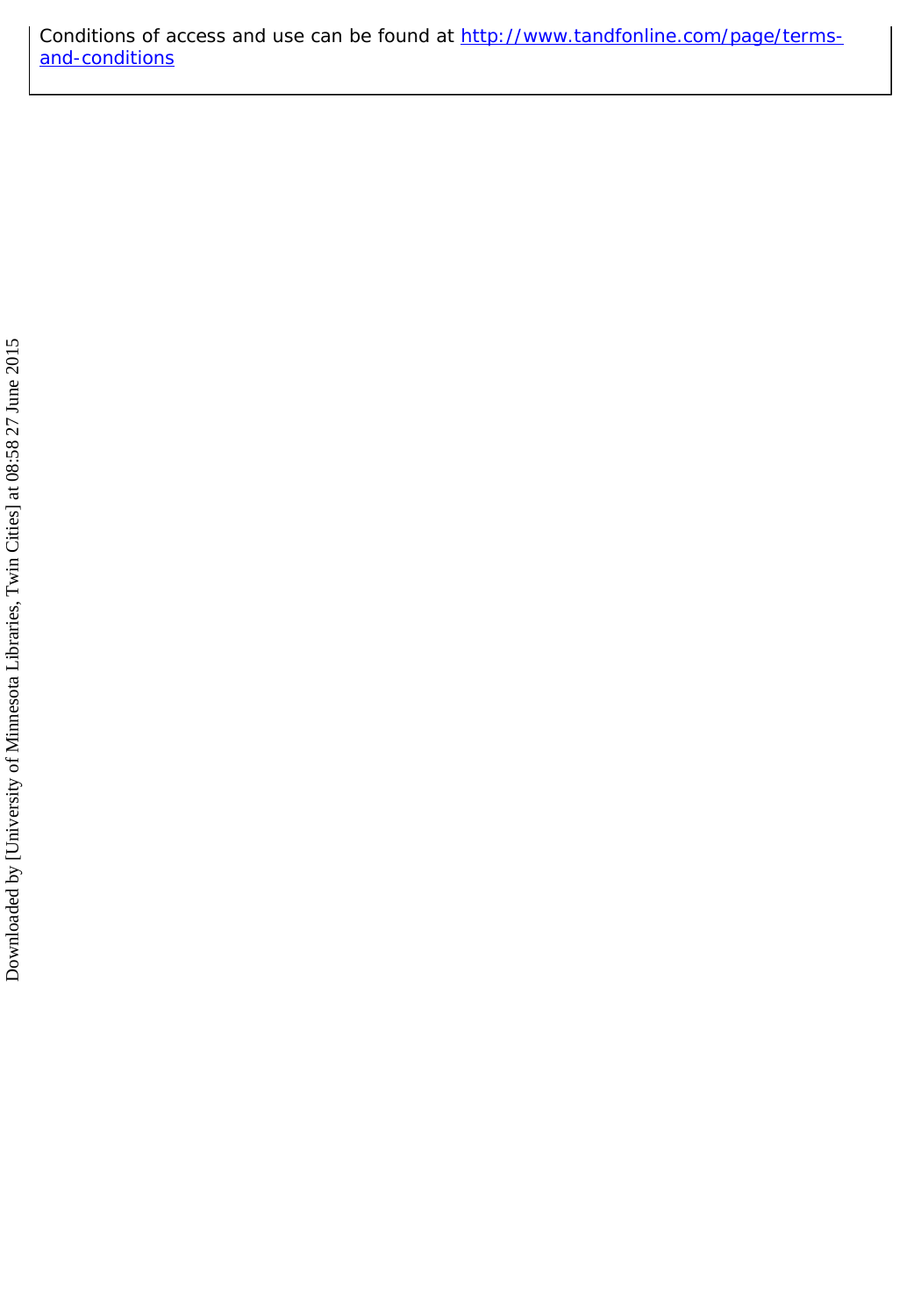Conditions of access and use can be found at [http://www.tandfonline.com/page/terms](http://www.tandfonline.com/page/terms-and-conditions)[and-conditions](http://www.tandfonline.com/page/terms-and-conditions)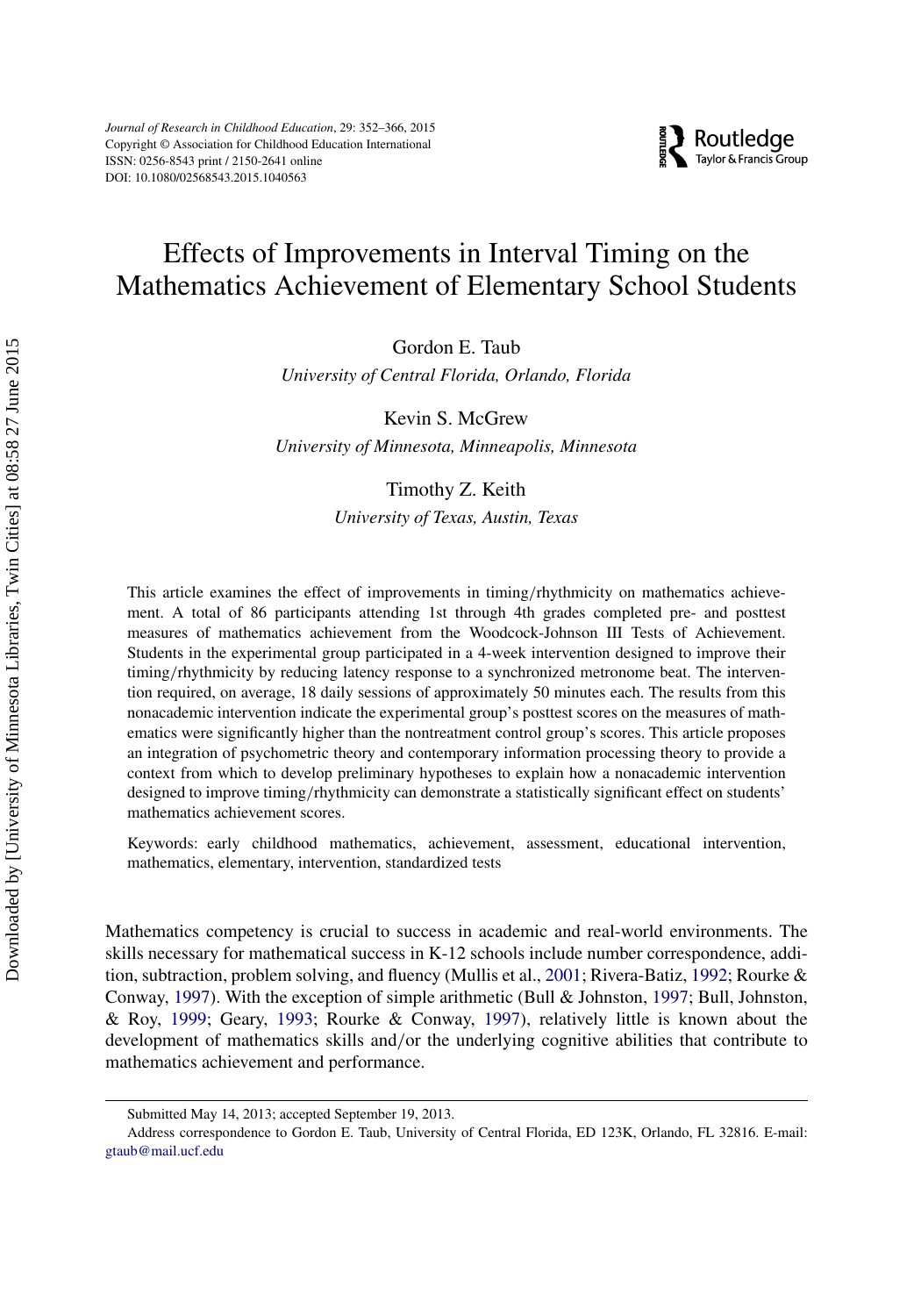# Effects of Improvements in Interval Timing on the Mathematics Achievement of Elementary School Students

**EXP** Routledge

Gordon E. Taub

*University of Central Florida, Orlando, Florida*

Kevin S. McGrew

*University of Minnesota, Minneapolis, Minnesota*

#### Timothy Z. Keith

*University of Texas, Austin, Texas*

This article examines the effect of improvements in timing/rhythmicity on mathematics achievement. A total of 86 participants attending 1st through 4th grades completed pre- and posttest measures of mathematics achievement from the Woodcock-Johnson III Tests of Achievement. Students in the experimental group participated in a 4-week intervention designed to improve their timing/rhythmicity by reducing latency response to a synchronized metronome beat. The intervention required, on average, 18 daily sessions of approximately 50 minutes each. The results from this nonacademic intervention indicate the experimental group's posttest scores on the measures of mathematics were significantly higher than the nontreatment control group's scores. This article proposes an integration of psychometric theory and contemporary information processing theory to provide a context from which to develop preliminary hypotheses to explain how a nonacademic intervention designed to improve timing/rhythmicity can demonstrate a statistically significant effect on students' mathematics achievement scores.

Keywords: early childhood mathematics, achievement, assessment, educational intervention, mathematics, elementary, intervention, standardized tests

Mathematics competency is crucial to success in academic and real-world environments. The skills necessary for mathematical success in K-12 schools include number correspondence, addition, subtraction, problem solving, and fluency (Mullis et al., [2001;](#page-15-0) Rivera-Batiz, [1992;](#page-16-0) Rourke & Conway, [1997\)](#page-16-1). With the exception of simple arithmetic (Bull & Johnston, [1997;](#page-13-0) Bull, Johnston, & Roy, [1999;](#page-14-0) Geary, [1993;](#page-14-1) Rourke & Conway, [1997\)](#page-16-1), relatively little is known about the development of mathematics skills and/or the underlying cognitive abilities that contribute to mathematics achievement and performance.

Submitted May 14, 2013; accepted September 19, 2013.

Address correspondence to Gordon E. Taub, University of Central Florida, ED 123K, Orlando, FL 32816. E-mail: [gtaub@mail.ucf.edu](mailto:gtaub@mail.ucf.edu)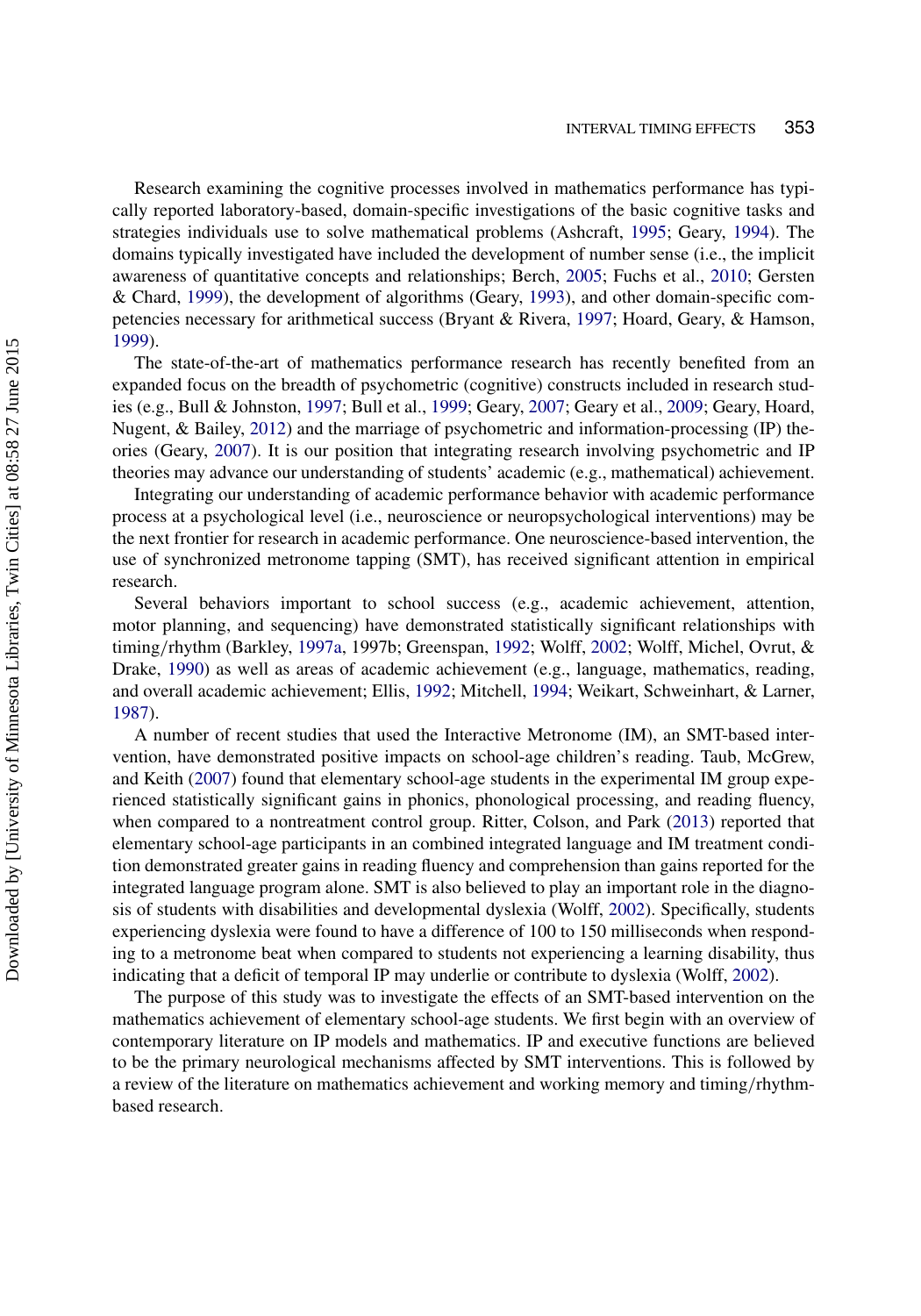Research examining the cognitive processes involved in mathematics performance has typically reported laboratory-based, domain-specific investigations of the basic cognitive tasks and strategies individuals use to solve mathematical problems (Ashcraft, [1995;](#page-13-1) Geary, [1994\)](#page-14-2). The domains typically investigated have included the development of number sense (i.e., the implicit awareness of quantitative concepts and relationships; Berch, [2005;](#page-13-2) Fuchs et al., [2010;](#page-14-3) Gersten & Chard, [1999\)](#page-14-4), the development of algorithms (Geary, [1993\)](#page-14-1), and other domain-specific competencies necessary for arithmetical success (Bryant & Rivera, [1997;](#page-13-3) Hoard, Geary, & Hamson, [1999\)](#page-15-1).

The state-of-the-art of mathematics performance research has recently benefited from an expanded focus on the breadth of psychometric (cognitive) constructs included in research studies (e.g., Bull & Johnston, [1997;](#page-13-0) Bull et al., [1999;](#page-14-0) Geary, [2007;](#page-14-5) Geary et al., [2009;](#page-14-6) Geary, Hoard, Nugent, & Bailey, [2012\)](#page-14-7) and the marriage of psychometric and information-processing (IP) theories (Geary, [2007\)](#page-14-5). It is our position that integrating research involving psychometric and IP theories may advance our understanding of students' academic (e.g., mathematical) achievement.

Integrating our understanding of academic performance behavior with academic performance process at a psychological level (i.e., neuroscience or neuropsychological interventions) may be the next frontier for research in academic performance. One neuroscience-based intervention, the use of synchronized metronome tapping (SMT), has received significant attention in empirical research.

Several behaviors important to school success (e.g., academic achievement, attention, motor planning, and sequencing) have demonstrated statistically significant relationships with timing/rhythm (Barkley, [1997a,](#page-13-4) 1997b; Greenspan, [1992;](#page-14-8) Wolff, [2002;](#page-16-2) Wolff, Michel, Ovrut, & Drake, [1990\)](#page-16-3) as well as areas of academic achievement (e.g., language, mathematics, reading, and overall academic achievement; Ellis, [1992;](#page-14-9) Mitchell, [1994;](#page-15-2) Weikart, Schweinhart, & Larner, [1987\)](#page-16-4).

A number of recent studies that used the Interactive Metronome (IM), an SMT-based intervention, have demonstrated positive impacts on school-age children's reading. Taub, McGrew, and Keith [\(2007\)](#page-16-5) found that elementary school-age students in the experimental IM group experienced statistically significant gains in phonics, phonological processing, and reading fluency, when compared to a nontreatment control group. Ritter, Colson, and Park [\(2013\)](#page-16-6) reported that elementary school-age participants in an combined integrated language and IM treatment condition demonstrated greater gains in reading fluency and comprehension than gains reported for the integrated language program alone. SMT is also believed to play an important role in the diagnosis of students with disabilities and developmental dyslexia (Wolff, [2002\)](#page-16-2). Specifically, students experiencing dyslexia were found to have a difference of 100 to 150 milliseconds when responding to a metronome beat when compared to students not experiencing a learning disability, thus indicating that a deficit of temporal IP may underlie or contribute to dyslexia (Wolff, [2002\)](#page-16-2).

The purpose of this study was to investigate the effects of an SMT-based intervention on the mathematics achievement of elementary school-age students. We first begin with an overview of contemporary literature on IP models and mathematics. IP and executive functions are believed to be the primary neurological mechanisms affected by SMT interventions. This is followed by a review of the literature on mathematics achievement and working memory and timing/rhythmbased research.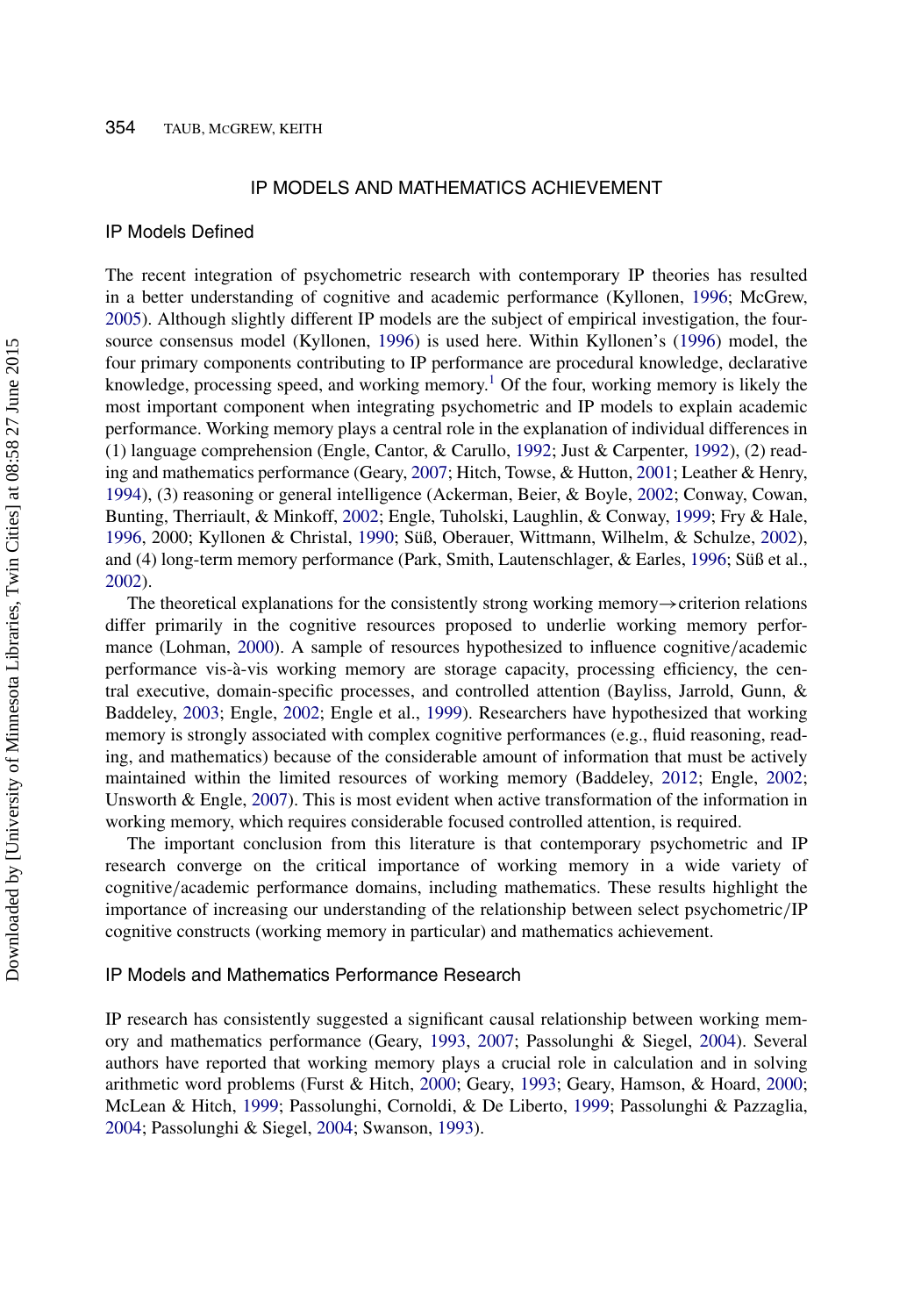#### IP MODELS AND MATHEMATICS ACHIEVEMENT

#### IP Models Defined

The recent integration of psychometric research with contemporary IP theories has resulted in a better understanding of cognitive and academic performance (Kyllonen, [1996;](#page-15-3) McGrew, [2005\)](#page-15-4). Although slightly different IP models are the subject of empirical investigation, the foursource consensus model (Kyllonen, [1996\)](#page-15-3) is used here. Within Kyllonen's [\(1996\)](#page-15-3) model, the four primary components contributing to IP performance are procedural knowledge, declarative knowledge, processing speed, and working memory.<sup>[1](#page-13-5)</sup> Of the four, working memory is likely the most important component when integrating psychometric and IP models to explain academic performance. Working memory plays a central role in the explanation of individual differences in (1) language comprehension (Engle, Cantor, & Carullo, [1992;](#page-14-10) Just & Carpenter, [1992\)](#page-15-5), (2) reading and mathematics performance (Geary, [2007;](#page-14-5) Hitch, Towse, & Hutton, [2001;](#page-15-6) Leather & Henry, [1994\)](#page-15-7), (3) reasoning or general intelligence (Ackerman, Beier, & Boyle, [2002;](#page-13-6) Conway, Cowan, Bunting, Therriault, & Minkoff, [2002;](#page-14-11) Engle, Tuholski, Laughlin, & Conway, [1999;](#page-14-12) Fry & Hale, [1996,](#page-14-13) 2000; Kyllonen & Christal, [1990;](#page-15-8) Süß, Oberauer, Wittmann, Wilhelm, & Schulze, [2002\)](#page-16-7), and (4) long-term memory performance (Park, Smith, Lautenschlager, & Earles, [1996;](#page-15-9) Süß et al., [2002\)](#page-16-7).

The theoretical explanations for the consistently strong working memory→criterion relations differ primarily in the cognitive resources proposed to underlie working memory performance (Lohman, [2000\)](#page-15-10). A sample of resources hypothesized to influence cognitive/academic performance vis-à-vis working memory are storage capacity, processing efficiency, the central executive, domain-specific processes, and controlled attention (Bayliss, Jarrold, Gunn, & Baddeley, [2003;](#page-13-7) Engle, [2002;](#page-14-14) Engle et al., [1999\)](#page-14-12). Researchers have hypothesized that working memory is strongly associated with complex cognitive performances (e.g., fluid reasoning, reading, and mathematics) because of the considerable amount of information that must be actively maintained within the limited resources of working memory (Baddeley, [2012;](#page-13-8) Engle, [2002;](#page-14-14) Unsworth & Engle, [2007\)](#page-16-8). This is most evident when active transformation of the information in working memory, which requires considerable focused controlled attention, is required.

The important conclusion from this literature is that contemporary psychometric and IP research converge on the critical importance of working memory in a wide variety of cognitive/academic performance domains, including mathematics. These results highlight the importance of increasing our understanding of the relationship between select psychometric/IP cognitive constructs (working memory in particular) and mathematics achievement.

## IP Models and Mathematics Performance Research

IP research has consistently suggested a significant causal relationship between working memory and mathematics performance (Geary, [1993,](#page-14-1) [2007;](#page-14-5) Passolunghi & Siegel, [2004\)](#page-16-9). Several authors have reported that working memory plays a crucial role in calculation and in solving arithmetic word problems (Furst & Hitch, [2000;](#page-14-15) Geary, [1993;](#page-14-1) Geary, Hamson, & Hoard, [2000;](#page-14-16) McLean & Hitch, [1999;](#page-15-11) Passolunghi, Cornoldi, & De Liberto, [1999;](#page-15-12) Passolunghi & Pazzaglia, [2004;](#page-16-10) Passolunghi & Siegel, [2004;](#page-16-9) Swanson, [1993\)](#page-16-11).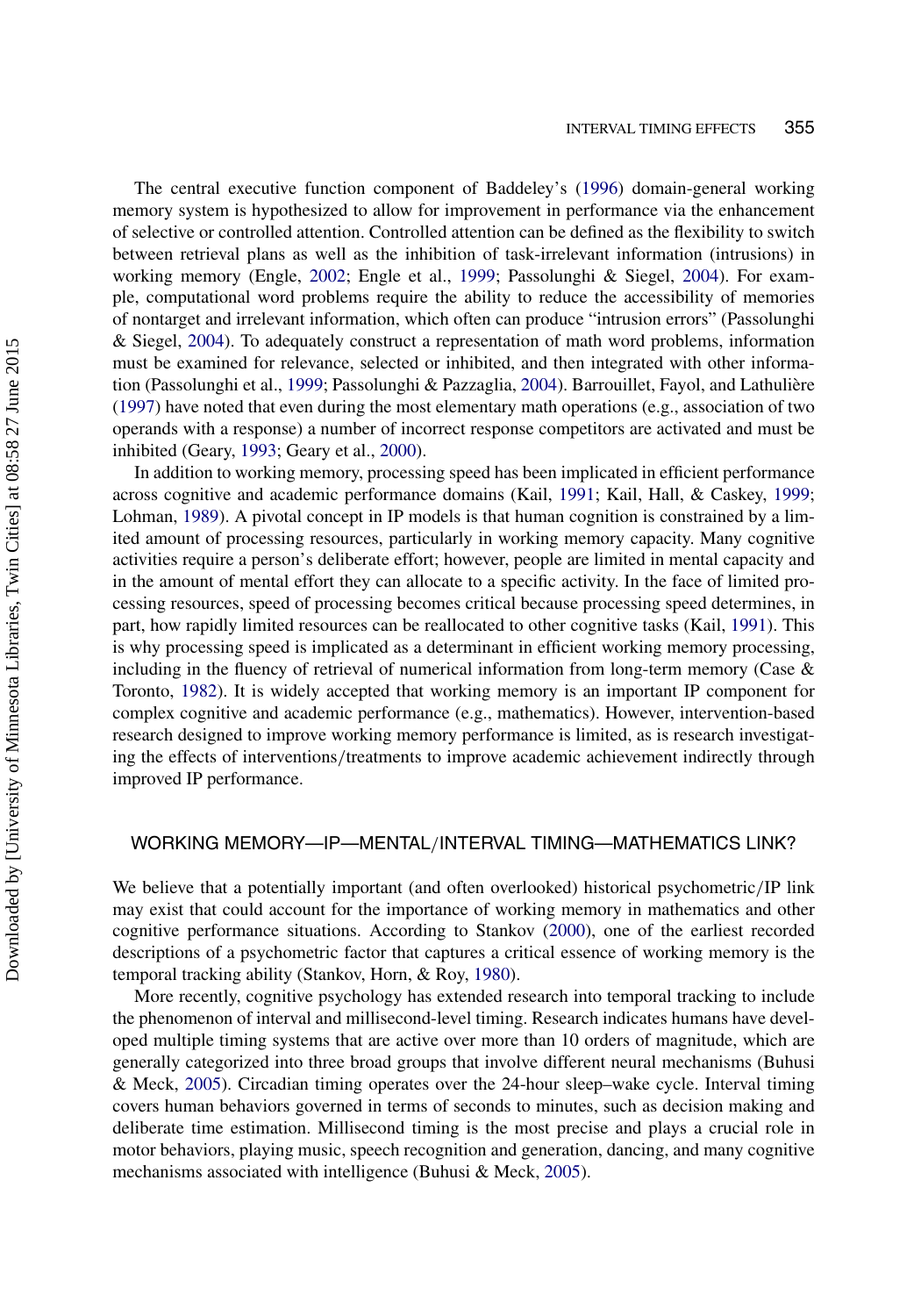The central executive function component of Baddeley's [\(1996\)](#page-13-9) domain-general working memory system is hypothesized to allow for improvement in performance via the enhancement of selective or controlled attention. Controlled attention can be defined as the flexibility to switch between retrieval plans as well as the inhibition of task-irrelevant information (intrusions) in working memory (Engle, [2002;](#page-14-14) Engle et al., [1999;](#page-14-12) Passolunghi & Siegel, [2004\)](#page-16-9). For example, computational word problems require the ability to reduce the accessibility of memories of nontarget and irrelevant information, which often can produce "intrusion errors" (Passolunghi & Siegel, [2004\)](#page-16-9). To adequately construct a representation of math word problems, information must be examined for relevance, selected or inhibited, and then integrated with other information (Passolunghi et al., [1999;](#page-15-12) Passolunghi & Pazzaglia, [2004\)](#page-16-10). Barrouillet, Fayol, and Lathulière [\(1997\)](#page-13-10) have noted that even during the most elementary math operations (e.g., association of two operands with a response) a number of incorrect response competitors are activated and must be inhibited (Geary, [1993;](#page-14-1) Geary et al., [2000\)](#page-14-16).

In addition to working memory, processing speed has been implicated in efficient performance across cognitive and academic performance domains (Kail, [1991;](#page-15-13) Kail, Hall, & Caskey, [1999;](#page-15-14) Lohman, [1989\)](#page-15-15). A pivotal concept in IP models is that human cognition is constrained by a limited amount of processing resources, particularly in working memory capacity. Many cognitive activities require a person's deliberate effort; however, people are limited in mental capacity and in the amount of mental effort they can allocate to a specific activity. In the face of limited processing resources, speed of processing becomes critical because processing speed determines, in part, how rapidly limited resources can be reallocated to other cognitive tasks (Kail, [1991\)](#page-15-13). This is why processing speed is implicated as a determinant in efficient working memory processing, including in the fluency of retrieval of numerical information from long-term memory (Case & Toronto, [1982\)](#page-14-17). It is widely accepted that working memory is an important IP component for complex cognitive and academic performance (e.g., mathematics). However, intervention-based research designed to improve working memory performance is limited, as is research investigating the effects of interventions/treatments to improve academic achievement indirectly through improved IP performance.

# WORKING MEMORY—IP—MENTAL/INTERVAL TIMING—MATHEMATICS LINK?

We believe that a potentially important (and often overlooked) historical psychometric/IP link may exist that could account for the importance of working memory in mathematics and other cognitive performance situations. According to Stankov [\(2000\)](#page-16-12), one of the earliest recorded descriptions of a psychometric factor that captures a critical essence of working memory is the temporal tracking ability (Stankov, Horn, & Roy, [1980\)](#page-16-13).

More recently, cognitive psychology has extended research into temporal tracking to include the phenomenon of interval and millisecond-level timing. Research indicates humans have developed multiple timing systems that are active over more than 10 orders of magnitude, which are generally categorized into three broad groups that involve different neural mechanisms (Buhusi & Meck, [2005\)](#page-13-0). Circadian timing operates over the 24-hour sleep–wake cycle. Interval timing covers human behaviors governed in terms of seconds to minutes, such as decision making and deliberate time estimation. Millisecond timing is the most precise and plays a crucial role in motor behaviors, playing music, speech recognition and generation, dancing, and many cognitive mechanisms associated with intelligence (Buhusi & Meck, [2005\)](#page-13-0).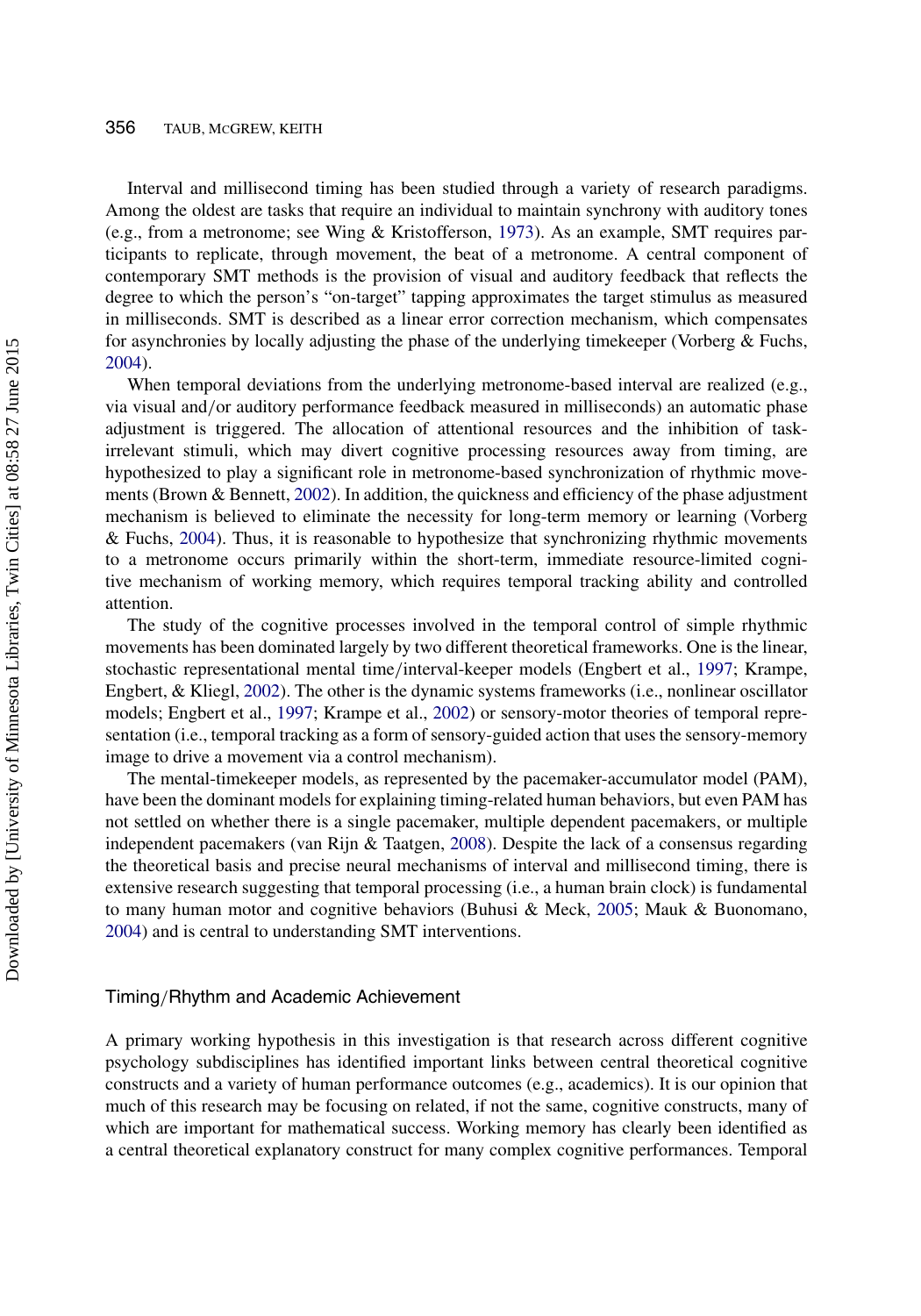#### 356 TAUB, MCGREW, KEITH

Interval and millisecond timing has been studied through a variety of research paradigms. Among the oldest are tasks that require an individual to maintain synchrony with auditory tones (e.g., from a metronome; see Wing & Kristofferson, [1973\)](#page-16-14). As an example, SMT requires participants to replicate, through movement, the beat of a metronome. A central component of contemporary SMT methods is the provision of visual and auditory feedback that reflects the degree to which the person's "on-target" tapping approximates the target stimulus as measured in milliseconds. SMT is described as a linear error correction mechanism, which compensates for asynchronies by locally adjusting the phase of the underlying timekeeper (Vorberg  $&$  Fuchs, [2004\)](#page-16-15).

When temporal deviations from the underlying metronome-based interval are realized (e.g., via visual and/or auditory performance feedback measured in milliseconds) an automatic phase adjustment is triggered. The allocation of attentional resources and the inhibition of taskirrelevant stimuli, which may divert cognitive processing resources away from timing, are hypothesized to play a significant role in metronome-based synchronization of rhythmic movements (Brown & Bennett, [2002\)](#page-13-3). In addition, the quickness and efficiency of the phase adjustment mechanism is believed to eliminate the necessity for long-term memory or learning (Vorberg & Fuchs, [2004\)](#page-16-15). Thus, it is reasonable to hypothesize that synchronizing rhythmic movements to a metronome occurs primarily within the short-term, immediate resource-limited cognitive mechanism of working memory, which requires temporal tracking ability and controlled attention.

The study of the cognitive processes involved in the temporal control of simple rhythmic movements has been dominated largely by two different theoretical frameworks. One is the linear, stochastic representational mental time/interval-keeper models (Engbert et al., [1997;](#page-14-18) Krampe, Engbert, & Kliegl, [2002\)](#page-15-16). The other is the dynamic systems frameworks (i.e., nonlinear oscillator models; Engbert et al., [1997;](#page-14-18) Krampe et al., [2002\)](#page-15-16) or sensory-motor theories of temporal representation (i.e., temporal tracking as a form of sensory-guided action that uses the sensory-memory image to drive a movement via a control mechanism).

The mental-timekeeper models, as represented by the pacemaker-accumulator model (PAM), have been the dominant models for explaining timing-related human behaviors, but even PAM has not settled on whether there is a single pacemaker, multiple dependent pacemakers, or multiple independent pacemakers (van Rijn & Taatgen, [2008\)](#page-16-16). Despite the lack of a consensus regarding the theoretical basis and precise neural mechanisms of interval and millisecond timing, there is extensive research suggesting that temporal processing (i.e., a human brain clock) is fundamental to many human motor and cognitive behaviors (Buhusi & Meck, [2005;](#page-13-0) Mauk & Buonomano, [2004\)](#page-15-17) and is central to understanding SMT interventions.

#### Timing/Rhythm and Academic Achievement

A primary working hypothesis in this investigation is that research across different cognitive psychology subdisciplines has identified important links between central theoretical cognitive constructs and a variety of human performance outcomes (e.g., academics). It is our opinion that much of this research may be focusing on related, if not the same, cognitive constructs, many of which are important for mathematical success. Working memory has clearly been identified as a central theoretical explanatory construct for many complex cognitive performances. Temporal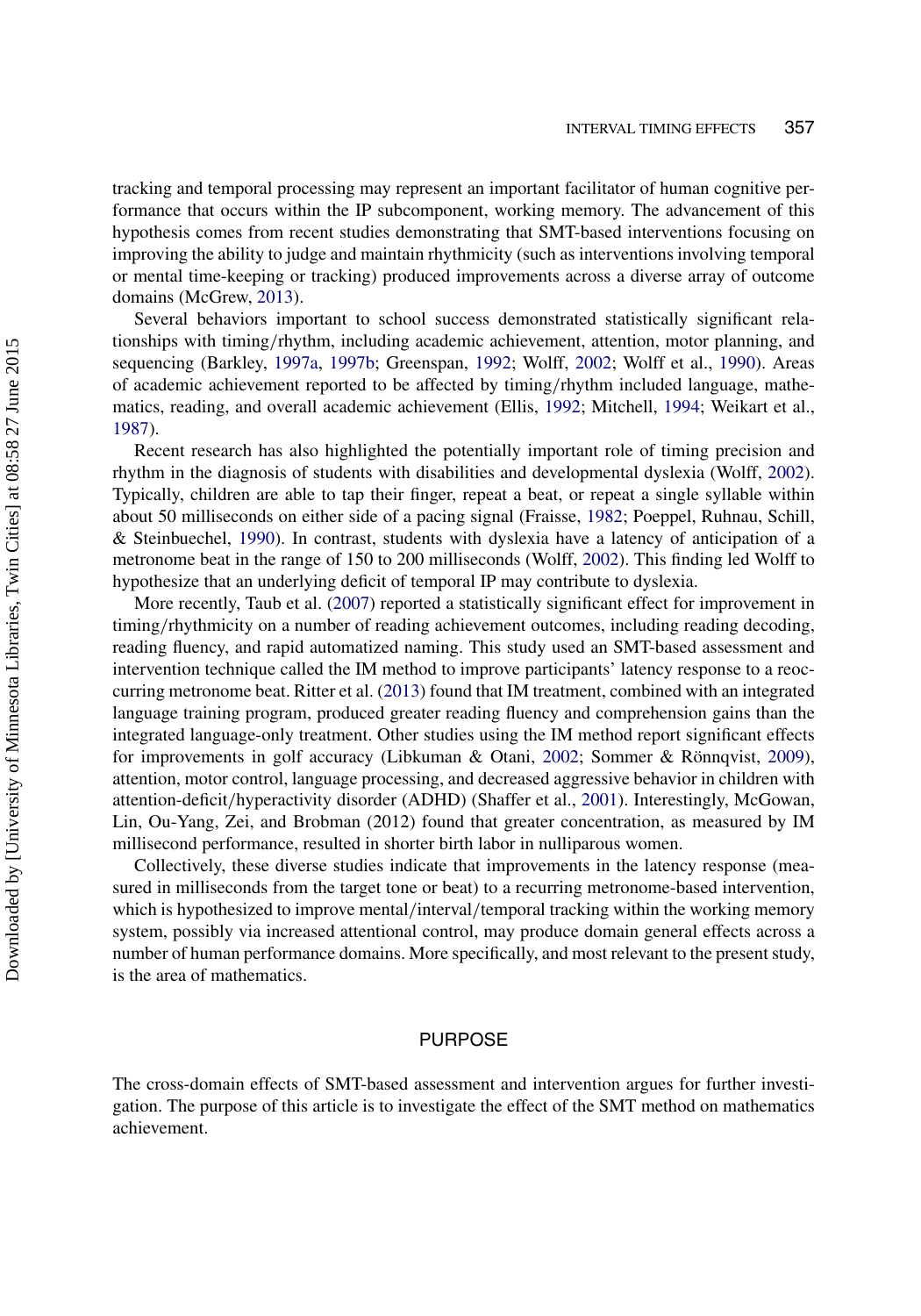tracking and temporal processing may represent an important facilitator of human cognitive performance that occurs within the IP subcomponent, working memory. The advancement of this hypothesis comes from recent studies demonstrating that SMT-based interventions focusing on improving the ability to judge and maintain rhythmicity (such as interventions involving temporal or mental time-keeping or tracking) produced improvements across a diverse array of outcome domains (McGrew, [2013\)](#page-15-18).

Several behaviors important to school success demonstrated statistically significant relationships with timing/rhythm, including academic achievement, attention, motor planning, and sequencing (Barkley, [1997a,](#page-13-4) [1997b;](#page-13-11) Greenspan, [1992;](#page-14-8) Wolff, [2002;](#page-16-2) Wolff et al., [1990\)](#page-16-3). Areas of academic achievement reported to be affected by timing/rhythm included language, mathematics, reading, and overall academic achievement (Ellis, [1992;](#page-14-9) Mitchell, [1994;](#page-15-2) Weikart et al., [1987\)](#page-16-4).

Recent research has also highlighted the potentially important role of timing precision and rhythm in the diagnosis of students with disabilities and developmental dyslexia (Wolff, [2002\)](#page-16-2). Typically, children are able to tap their finger, repeat a beat, or repeat a single syllable within about 50 milliseconds on either side of a pacing signal (Fraisse, [1982;](#page-14-19) Poeppel, Ruhnau, Schill, & Steinbuechel, [1990\)](#page-16-17). In contrast, students with dyslexia have a latency of anticipation of a metronome beat in the range of 150 to 200 milliseconds (Wolff, [2002\)](#page-16-2). This finding led Wolff to hypothesize that an underlying deficit of temporal IP may contribute to dyslexia.

More recently, Taub et al. [\(2007\)](#page-16-5) reported a statistically significant effect for improvement in timing/rhythmicity on a number of reading achievement outcomes, including reading decoding, reading fluency, and rapid automatized naming. This study used an SMT-based assessment and intervention technique called the IM method to improve participants' latency response to a reoccurring metronome beat. Ritter et al. [\(2013\)](#page-16-6) found that IM treatment, combined with an integrated language training program, produced greater reading fluency and comprehension gains than the integrated language-only treatment. Other studies using the IM method report significant effects for improvements in golf accuracy (Libkuman & Otani, [2002;](#page-15-19) Sommer & Rönnqvist, [2009\)](#page-16-18), attention, motor control, language processing, and decreased aggressive behavior in children with attention-deficit/hyperactivity disorder (ADHD) (Shaffer et al., [2001\)](#page-16-19). Interestingly, McGowan, Lin, Ou-Yang, Zei, and Brobman (2012) found that greater concentration, as measured by IM millisecond performance, resulted in shorter birth labor in nulliparous women.

Collectively, these diverse studies indicate that improvements in the latency response (measured in milliseconds from the target tone or beat) to a recurring metronome-based intervention, which is hypothesized to improve mental/interval/temporal tracking within the working memory system, possibly via increased attentional control, may produce domain general effects across a number of human performance domains. More specifically, and most relevant to the present study, is the area of mathematics.

## PURPOSE

The cross-domain effects of SMT-based assessment and intervention argues for further investigation. The purpose of this article is to investigate the effect of the SMT method on mathematics achievement.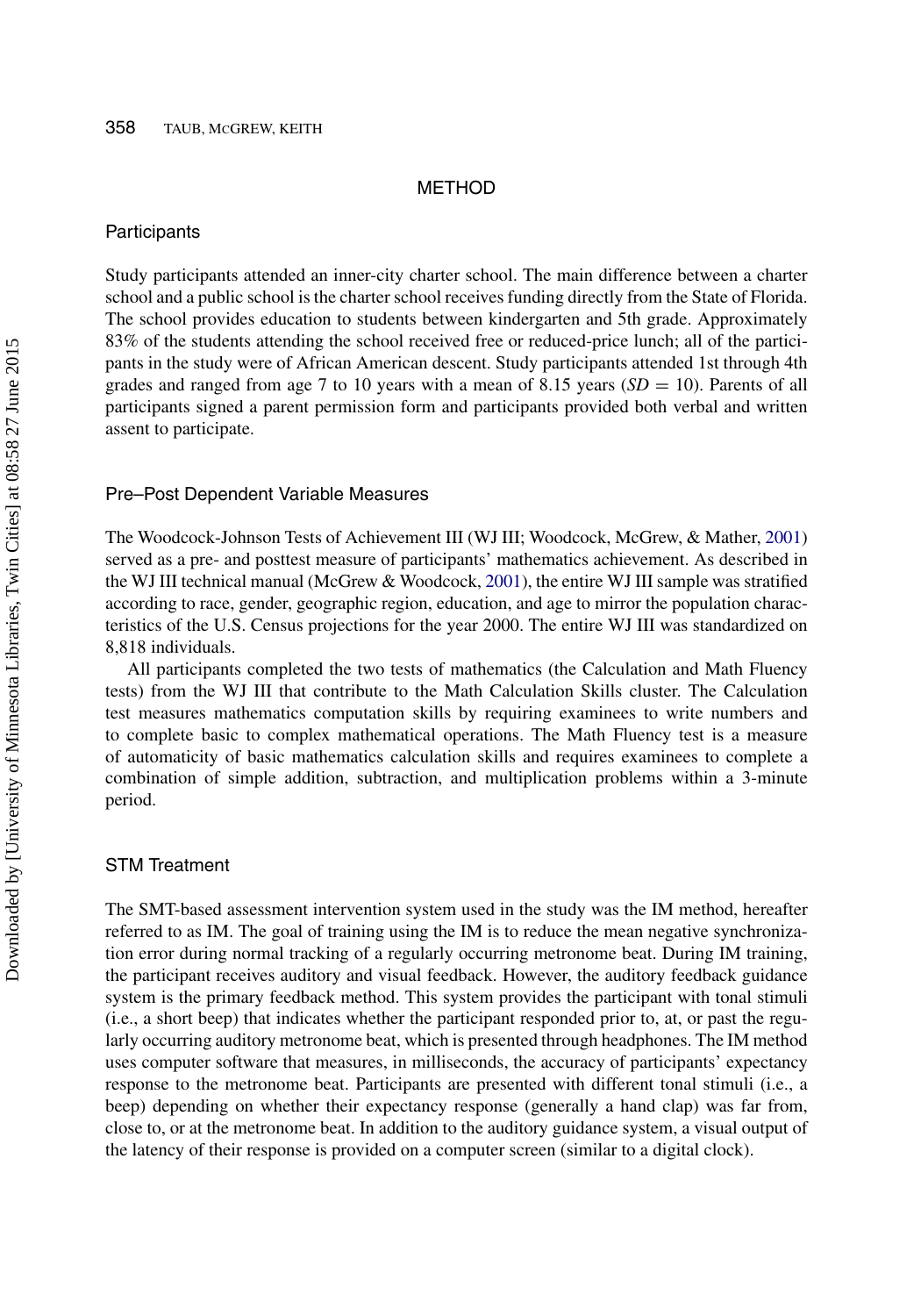#### METHOD

#### **Participants**

Study participants attended an inner-city charter school. The main difference between a charter school and a public school is the charter school receives funding directly from the State of Florida. The school provides education to students between kindergarten and 5th grade. Approximately 83% of the students attending the school received free or reduced-price lunch; all of the participants in the study were of African American descent. Study participants attended 1st through 4th grades and ranged from age 7 to 10 years with a mean of 8.15 years (*SD* = 10). Parents of all participants signed a parent permission form and participants provided both verbal and written assent to participate.

#### Pre–Post Dependent Variable Measures

The Woodcock-Johnson Tests of Achievement III (WJ III; Woodcock, McGrew, & Mather, [2001\)](#page-16-20) served as a pre- and posttest measure of participants' mathematics achievement. As described in the WJ III technical manual (McGrew & Woodcock, [2001\)](#page-15-20), the entire WJ III sample was stratified according to race, gender, geographic region, education, and age to mirror the population characteristics of the U.S. Census projections for the year 2000. The entire WJ III was standardized on 8,818 individuals.

All participants completed the two tests of mathematics (the Calculation and Math Fluency tests) from the WJ III that contribute to the Math Calculation Skills cluster. The Calculation test measures mathematics computation skills by requiring examinees to write numbers and to complete basic to complex mathematical operations. The Math Fluency test is a measure of automaticity of basic mathematics calculation skills and requires examinees to complete a combination of simple addition, subtraction, and multiplication problems within a 3-minute period.

#### STM Treatment

The SMT-based assessment intervention system used in the study was the IM method, hereafter referred to as IM. The goal of training using the IM is to reduce the mean negative synchronization error during normal tracking of a regularly occurring metronome beat. During IM training, the participant receives auditory and visual feedback. However, the auditory feedback guidance system is the primary feedback method. This system provides the participant with tonal stimuli (i.e., a short beep) that indicates whether the participant responded prior to, at, or past the regularly occurring auditory metronome beat, which is presented through headphones. The IM method uses computer software that measures, in milliseconds, the accuracy of participants' expectancy response to the metronome beat. Participants are presented with different tonal stimuli (i.e., a beep) depending on whether their expectancy response (generally a hand clap) was far from, close to, or at the metronome beat. In addition to the auditory guidance system, a visual output of the latency of their response is provided on a computer screen (similar to a digital clock).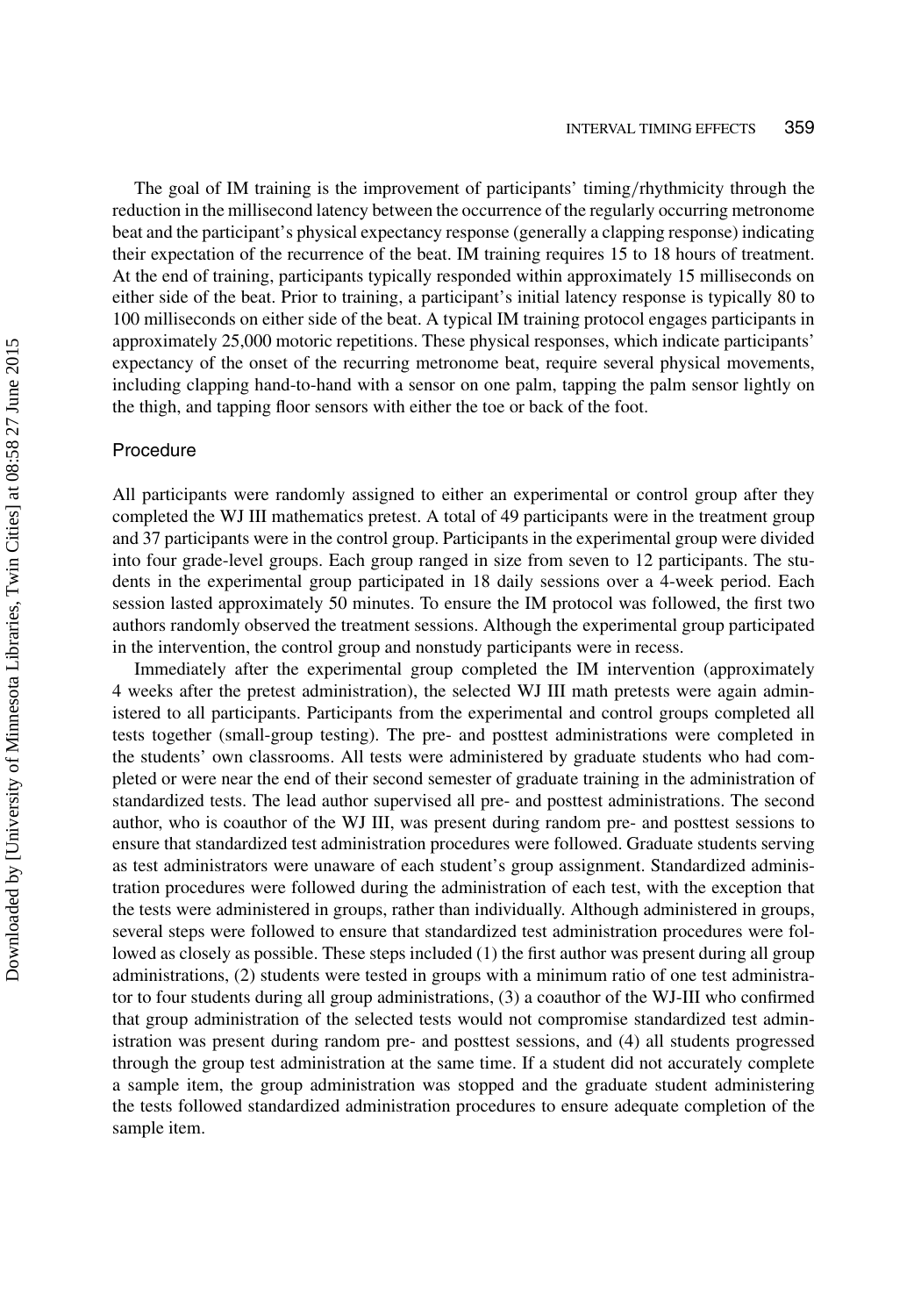The goal of IM training is the improvement of participants' timing/rhythmicity through the reduction in the millisecond latency between the occurrence of the regularly occurring metronome beat and the participant's physical expectancy response (generally a clapping response) indicating their expectation of the recurrence of the beat. IM training requires 15 to 18 hours of treatment. At the end of training, participants typically responded within approximately 15 milliseconds on either side of the beat. Prior to training, a participant's initial latency response is typically 80 to 100 milliseconds on either side of the beat. A typical IM training protocol engages participants in approximately 25,000 motoric repetitions. These physical responses, which indicate participants' expectancy of the onset of the recurring metronome beat, require several physical movements, including clapping hand-to-hand with a sensor on one palm, tapping the palm sensor lightly on the thigh, and tapping floor sensors with either the toe or back of the foot.

#### Procedure

All participants were randomly assigned to either an experimental or control group after they completed the WJ III mathematics pretest. A total of 49 participants were in the treatment group and 37 participants were in the control group. Participants in the experimental group were divided into four grade-level groups. Each group ranged in size from seven to 12 participants. The students in the experimental group participated in 18 daily sessions over a 4-week period. Each session lasted approximately 50 minutes. To ensure the IM protocol was followed, the first two authors randomly observed the treatment sessions. Although the experimental group participated in the intervention, the control group and nonstudy participants were in recess.

Immediately after the experimental group completed the IM intervention (approximately 4 weeks after the pretest administration), the selected WJ III math pretests were again administered to all participants. Participants from the experimental and control groups completed all tests together (small-group testing). The pre- and posttest administrations were completed in the students' own classrooms. All tests were administered by graduate students who had completed or were near the end of their second semester of graduate training in the administration of standardized tests. The lead author supervised all pre- and posttest administrations. The second author, who is coauthor of the WJ III, was present during random pre- and posttest sessions to ensure that standardized test administration procedures were followed. Graduate students serving as test administrators were unaware of each student's group assignment. Standardized administration procedures were followed during the administration of each test, with the exception that the tests were administered in groups, rather than individually. Although administered in groups, several steps were followed to ensure that standardized test administration procedures were followed as closely as possible. These steps included (1) the first author was present during all group administrations, (2) students were tested in groups with a minimum ratio of one test administrator to four students during all group administrations, (3) a coauthor of the WJ-III who confirmed that group administration of the selected tests would not compromise standardized test administration was present during random pre- and posttest sessions, and (4) all students progressed through the group test administration at the same time. If a student did not accurately complete a sample item, the group administration was stopped and the graduate student administering the tests followed standardized administration procedures to ensure adequate completion of the sample item.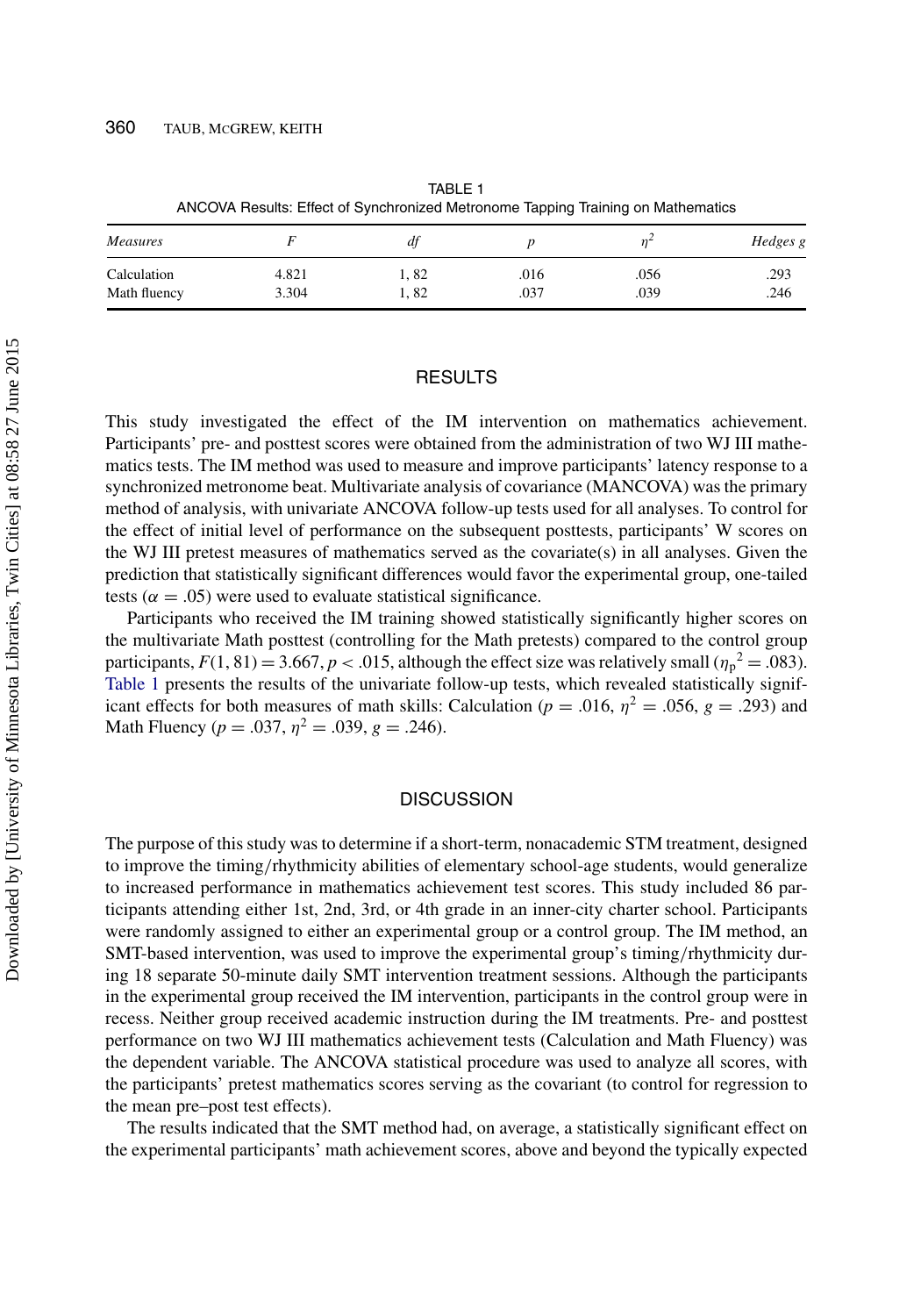| ANCOVA RESULTS. ETIECT OF SYLICITIONIZED METIONIONE TRIDING TRAINING ON MAMERIALCS |       |      |      |      |          |
|------------------------------------------------------------------------------------|-------|------|------|------|----------|
| <i>Measures</i>                                                                    |       | dt   |      |      | Hedges g |
| Calculation                                                                        | 4.821 | 1.82 | .016 | .056 | .293     |
| Math fluency                                                                       | 3.304 | 1.82 | .037 | .039 | .246     |

TABLE 1 ANCOVA Results: Effect of Synchronized Metronome Tapping Training on Mathematics

## <span id="page-10-0"></span>**RESULTS**

This study investigated the effect of the IM intervention on mathematics achievement. Participants' pre- and posttest scores were obtained from the administration of two WJ III mathematics tests. The IM method was used to measure and improve participants' latency response to a synchronized metronome beat. Multivariate analysis of covariance (MANCOVA) was the primary method of analysis, with univariate ANCOVA follow-up tests used for all analyses. To control for the effect of initial level of performance on the subsequent posttests, participants' W scores on the WJ III pretest measures of mathematics served as the covariate(s) in all analyses. Given the prediction that statistically significant differences would favor the experimental group, one-tailed tests ( $\alpha = .05$ ) were used to evaluate statistical significance.

Participants who received the IM training showed statistically significantly higher scores on the multivariate Math posttest (controlling for the Math pretests) compared to the control group participants,  $F(1, 81) = 3.667$ ,  $p < .015$ , although the effect size was relatively small ( $\eta_p^2 = .083$ ). [Table 1](#page-10-0) presents the results of the univariate follow-up tests, which revealed statistically significant effects for both measures of math skills: Calculation ( $p = .016$ ,  $\eta^2 = .056$ ,  $g = .293$ ) and Math Fluency ( $p = .037$ ,  $\eta^2 = .039$ ,  $g = .246$ ).

# **DISCUSSION**

The purpose of this study was to determine if a short-term, nonacademic STM treatment, designed to improve the timing/rhythmicity abilities of elementary school-age students, would generalize to increased performance in mathematics achievement test scores. This study included 86 participants attending either 1st, 2nd, 3rd, or 4th grade in an inner-city charter school. Participants were randomly assigned to either an experimental group or a control group. The IM method, an SMT-based intervention, was used to improve the experimental group's timing/rhythmicity during 18 separate 50-minute daily SMT intervention treatment sessions. Although the participants in the experimental group received the IM intervention, participants in the control group were in recess. Neither group received academic instruction during the IM treatments. Pre- and posttest performance on two WJ III mathematics achievement tests (Calculation and Math Fluency) was the dependent variable. The ANCOVA statistical procedure was used to analyze all scores, with the participants' pretest mathematics scores serving as the covariant (to control for regression to the mean pre–post test effects).

The results indicated that the SMT method had, on average, a statistically significant effect on the experimental participants' math achievement scores, above and beyond the typically expected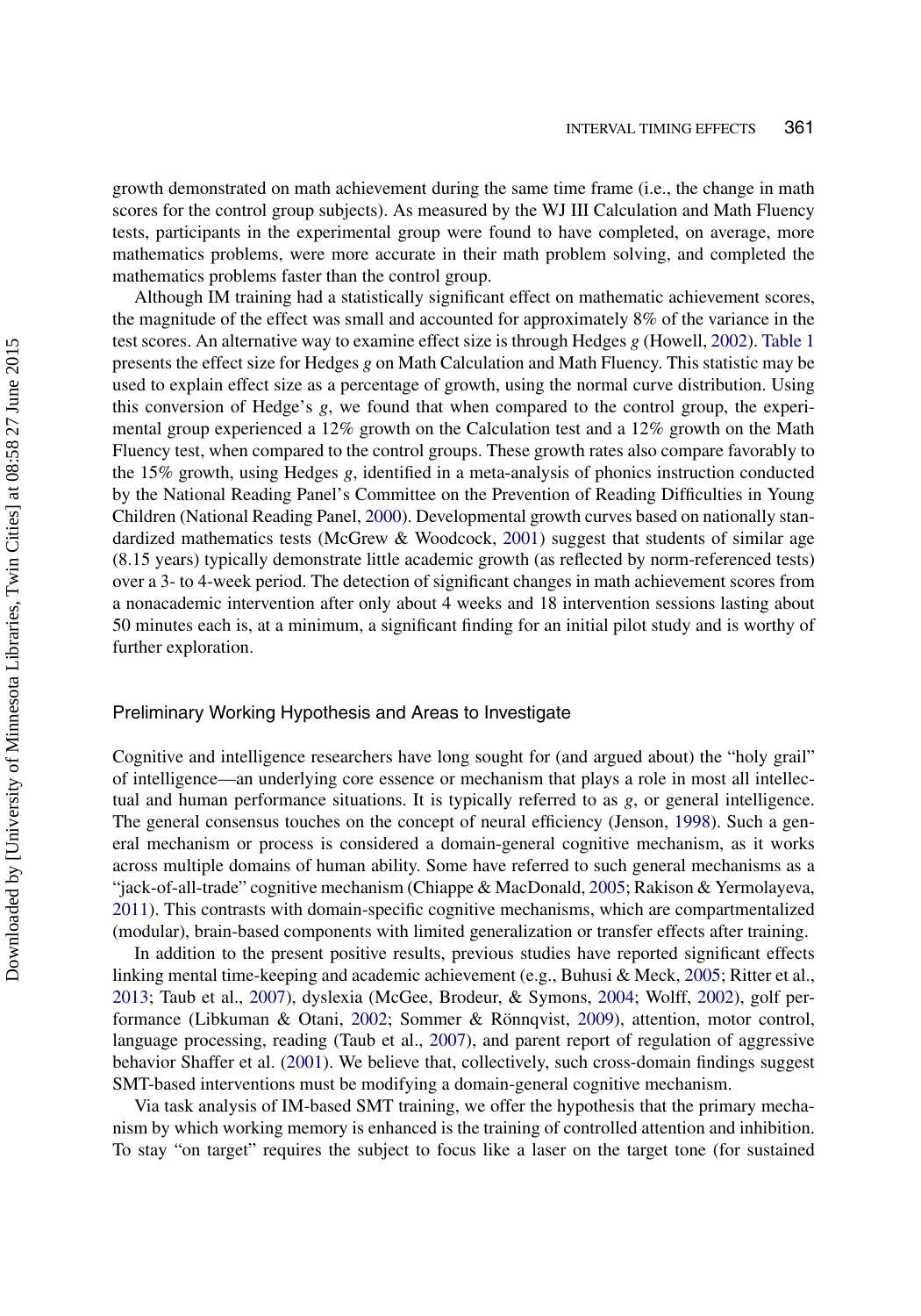growth demonstrated on math achievement during the same time frame (i.e., the change in math scores for the control group subjects). As measured by the WJ III Calculation and Math Fluency tests, participants in the experimental group were found to have completed, on average, more mathematics problems, were more accurate in their math problem solving, and completed the mathematics problems faster than the control group.

Although IM training had a statistically significant effect on mathematic achievement scores, the magnitude of the effect was small and accounted for approximately 8% of the variance in the test scores. An alternative way to examine effect size is through Hedges *g* (Howell, [2002\)](#page-15-21). [Table 1](#page-10-0) presents the effect size for Hedges *g* on Math Calculation and Math Fluency. This statistic may be used to explain effect size as a percentage of growth, using the normal curve distribution. Using this conversion of Hedge's *g*, we found that when compared to the control group, the experimental group experienced a 12% growth on the Calculation test and a 12% growth on the Math Fluency test, when compared to the control groups. These growth rates also compare favorably to the 15% growth, using Hedges *g*, identified in a meta-analysis of phonics instruction conducted by the National Reading Panel's Committee on the Prevention of Reading Difficulties in Young Children (National Reading Panel, [2000\)](#page-15-22). Developmental growth curves based on nationally stan-dardized mathematics tests (McGrew & Woodcock, [2001\)](#page-15-20) suggest that students of similar age (8.15 years) typically demonstrate little academic growth (as reflected by norm-referenced tests) over a 3- to 4-week period. The detection of significant changes in math achievement scores from a nonacademic intervention after only about 4 weeks and 18 intervention sessions lasting about 50 minutes each is, at a minimum, a significant finding for an initial pilot study and is worthy of further exploration.

#### Preliminary Working Hypothesis and Areas to Investigate

Cognitive and intelligence researchers have long sought for (and argued about) the "holy grail" of intelligence—an underlying core essence or mechanism that plays a role in most all intellectual and human performance situations. It is typically referred to as *g*, or general intelligence. The general consensus touches on the concept of neural efficiency (Jenson, [1998\)](#page-15-23). Such a general mechanism or process is considered a domain-general cognitive mechanism, as it works across multiple domains of human ability. Some have referred to such general mechanisms as a "jack-of-all-trade" cognitive mechanism (Chiappe & MacDonald, [2005;](#page-14-20) Rakison & Yermolayeva, [2011\)](#page-16-21). This contrasts with domain-specific cognitive mechanisms, which are compartmentalized (modular), brain-based components with limited generalization or transfer effects after training.

In addition to the present positive results, previous studies have reported significant effects linking mental time-keeping and academic achievement (e.g., Buhusi & Meck, [2005;](#page-13-0) Ritter et al., [2013;](#page-16-6) Taub et al., [2007\)](#page-16-5), dyslexia (McGee, Brodeur, & Symons, [2004;](#page-15-24) Wolff, [2002\)](#page-16-2), golf performance (Libkuman & Otani, [2002;](#page-15-19) Sommer & Rönnqvist, [2009\)](#page-16-18), attention, motor control, language processing, reading (Taub et al., [2007\)](#page-16-5), and parent report of regulation of aggressive behavior Shaffer et al. [\(2001\)](#page-16-19). We believe that, collectively, such cross-domain findings suggest SMT-based interventions must be modifying a domain-general cognitive mechanism.

Via task analysis of IM-based SMT training, we offer the hypothesis that the primary mechanism by which working memory is enhanced is the training of controlled attention and inhibition. To stay "on target" requires the subject to focus like a laser on the target tone (for sustained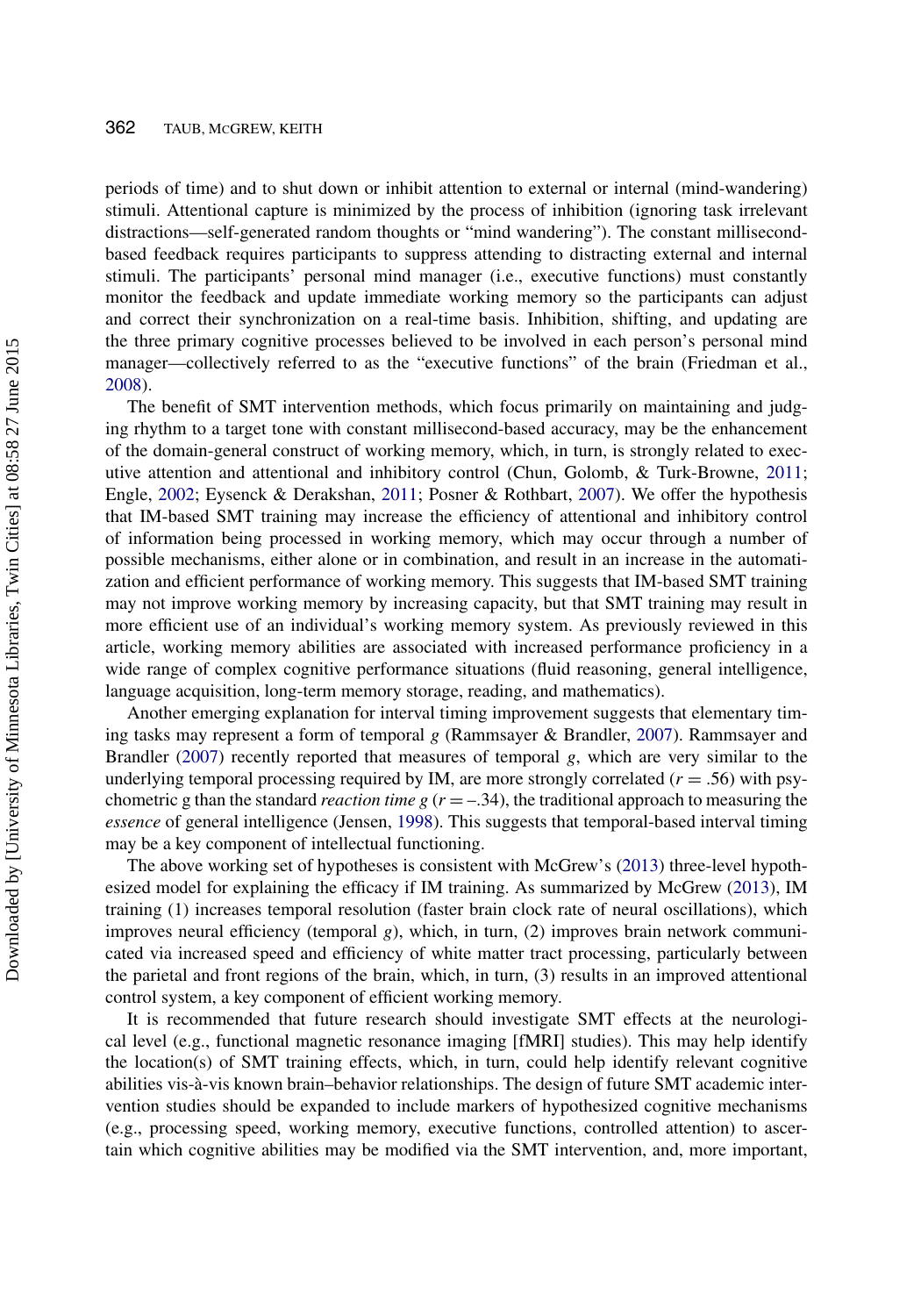periods of time) and to shut down or inhibit attention to external or internal (mind-wandering) stimuli. Attentional capture is minimized by the process of inhibition (ignoring task irrelevant distractions—self-generated random thoughts or "mind wandering"). The constant millisecondbased feedback requires participants to suppress attending to distracting external and internal stimuli. The participants' personal mind manager (i.e., executive functions) must constantly monitor the feedback and update immediate working memory so the participants can adjust and correct their synchronization on a real-time basis. Inhibition, shifting, and updating are the three primary cognitive processes believed to be involved in each person's personal mind manager—collectively referred to as the "executive functions" of the brain (Friedman et al., [2008\)](#page-14-21).

The benefit of SMT intervention methods, which focus primarily on maintaining and judging rhythm to a target tone with constant millisecond-based accuracy, may be the enhancement of the domain-general construct of working memory, which, in turn, is strongly related to executive attention and attentional and inhibitory control (Chun, Golomb, & Turk-Browne, [2011;](#page-14-22) Engle, [2002;](#page-14-14) Eysenck & Derakshan, [2011;](#page-14-23) Posner & Rothbart, [2007\)](#page-16-22). We offer the hypothesis that IM-based SMT training may increase the efficiency of attentional and inhibitory control of information being processed in working memory, which may occur through a number of possible mechanisms, either alone or in combination, and result in an increase in the automatization and efficient performance of working memory. This suggests that IM-based SMT training may not improve working memory by increasing capacity, but that SMT training may result in more efficient use of an individual's working memory system. As previously reviewed in this article, working memory abilities are associated with increased performance proficiency in a wide range of complex cognitive performance situations (fluid reasoning, general intelligence, language acquisition, long-term memory storage, reading, and mathematics).

Another emerging explanation for interval timing improvement suggests that elementary timing tasks may represent a form of temporal *g* (Rammsayer & Brandler, [2007\)](#page-16-23). Rammsayer and Brandler [\(2007\)](#page-16-23) recently reported that measures of temporal *g*, which are very similar to the underlying temporal processing required by IM, are more strongly correlated  $(r = .56)$  with psychometric g than the standard *reaction time g*  $(r = -.34)$ , the traditional approach to measuring the *essence* of general intelligence (Jensen, [1998\)](#page-15-23). This suggests that temporal-based interval timing may be a key component of intellectual functioning.

The above working set of hypotheses is consistent with McGrew's [\(2013\)](#page-15-18) three-level hypothesized model for explaining the efficacy if IM training. As summarized by McGrew [\(2013\)](#page-15-18), IM training (1) increases temporal resolution (faster brain clock rate of neural oscillations), which improves neural efficiency (temporal *g*), which, in turn, (2) improves brain network communicated via increased speed and efficiency of white matter tract processing, particularly between the parietal and front regions of the brain, which, in turn, (3) results in an improved attentional control system, a key component of efficient working memory.

It is recommended that future research should investigate SMT effects at the neurological level (e.g., functional magnetic resonance imaging [fMRI] studies). This may help identify the location(s) of SMT training effects, which, in turn, could help identify relevant cognitive abilities vis-à-vis known brain–behavior relationships. The design of future SMT academic intervention studies should be expanded to include markers of hypothesized cognitive mechanisms (e.g., processing speed, working memory, executive functions, controlled attention) to ascertain which cognitive abilities may be modified via the SMT intervention, and, more important,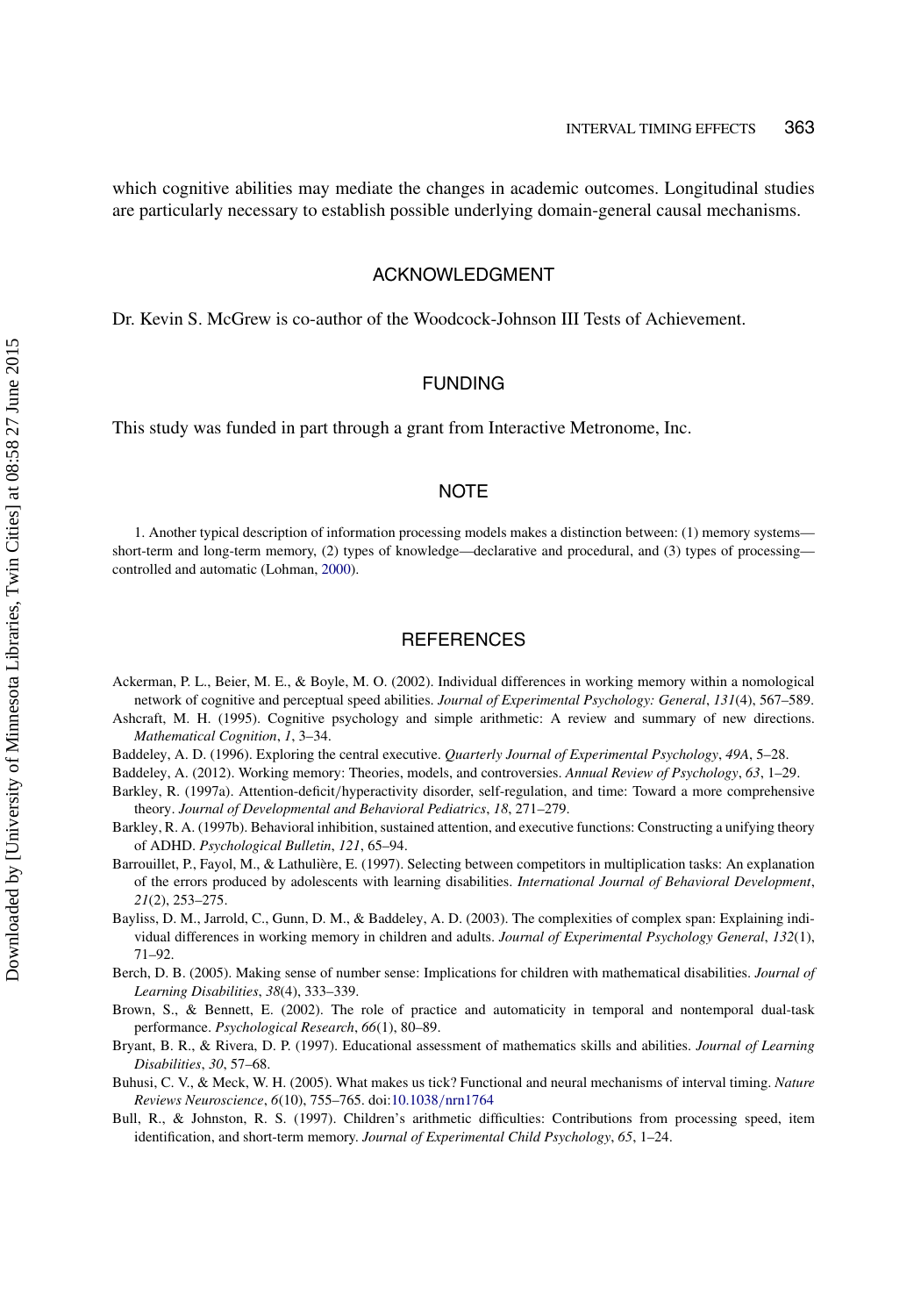which cognitive abilities may mediate the changes in academic outcomes. Longitudinal studies are particularly necessary to establish possible underlying domain-general causal mechanisms.

### ACKNOWLEDGMENT

Dr. Kevin S. McGrew is co-author of the Woodcock-Johnson III Tests of Achievement.

# FUNDING

This study was funded in part through a grant from Interactive Metronome, Inc.

# **NOTE**

<span id="page-13-5"></span>1. Another typical description of information processing models makes a distinction between: (1) memory systems short-term and long-term memory, (2) types of knowledge—declarative and procedural, and (3) types of processing controlled and automatic (Lohman, [2000\)](#page-15-10).

# **REFERENCES**

- <span id="page-13-6"></span>Ackerman, P. L., Beier, M. E., & Boyle, M. O. (2002). Individual differences in working memory within a nomological network of cognitive and perceptual speed abilities. *Journal of Experimental Psychology: General*, *131*(4), 567–589.
- <span id="page-13-1"></span>Ashcraft, M. H. (1995). Cognitive psychology and simple arithmetic: A review and summary of new directions. *Mathematical Cognition*, *1*, 3–34.
- <span id="page-13-9"></span>Baddeley, A. D. (1996). Exploring the central executive. *Quarterly Journal of Experimental Psychology*, *49A*, 5–28.
- <span id="page-13-8"></span>Baddeley, A. (2012). Working memory: Theories, models, and controversies. *Annual Review of Psychology*, *63*, 1–29.
- <span id="page-13-4"></span>Barkley, R. (1997a). Attention-deficit/hyperactivity disorder, self-regulation, and time: Toward a more comprehensive theory. *Journal of Developmental and Behavioral Pediatrics*, *18*, 271–279.
- <span id="page-13-11"></span>Barkley, R. A. (1997b). Behavioral inhibition, sustained attention, and executive functions: Constructing a unifying theory of ADHD. *Psychological Bulletin*, *121*, 65–94.
- <span id="page-13-10"></span>Barrouillet, P., Fayol, M., & Lathulière, E. (1997). Selecting between competitors in multiplication tasks: An explanation of the errors produced by adolescents with learning disabilities. *International Journal of Behavioral Development*, *21*(2), 253–275.
- <span id="page-13-7"></span>Bayliss, D. M., Jarrold, C., Gunn, D. M., & Baddeley, A. D. (2003). The complexities of complex span: Explaining individual differences in working memory in children and adults. *Journal of Experimental Psychology General*, *132*(1), 71–92.
- <span id="page-13-2"></span>Berch, D. B. (2005). Making sense of number sense: Implications for children with mathematical disabilities. *Journal of Learning Disabilities*, *38*(4), 333–339.
- Brown, S., & Bennett, E. (2002). The role of practice and automaticity in temporal and nontemporal dual-task performance. *Psychological Research*, *66*(1), 80–89.
- <span id="page-13-3"></span>Bryant, B. R., & Rivera, D. P. (1997). Educational assessment of mathematics skills and abilities. *Journal of Learning Disabilities*, *30*, 57–68.
- Buhusi, C. V., & Meck, W. H. (2005). What makes us tick? Functional and neural mechanisms of interval timing. *Nature Reviews Neuroscience*, *6*(10), 755–765. doi[:10.1038](http://dx.doi.org/10.1038\gdef yes{no}$/$\gdef \ {$/$}\gdef no{no}\gdef yes{yes}\gdef \ \gdef \ {\ }\gdef no{no}\gdef yes{yes}{$/$\gdef \ {$/$}\gdef no{no}\gdef yes{yes}}nrn1764)/[nrn1764](http://dx.doi.org/10.1038/nrn1764)
- <span id="page-13-0"></span>Bull, R., & Johnston, R. S. (1997). Children's arithmetic difficulties: Contributions from processing speed, item identification, and short-term memory. *Journal of Experimental Child Psychology*, *65*, 1–24.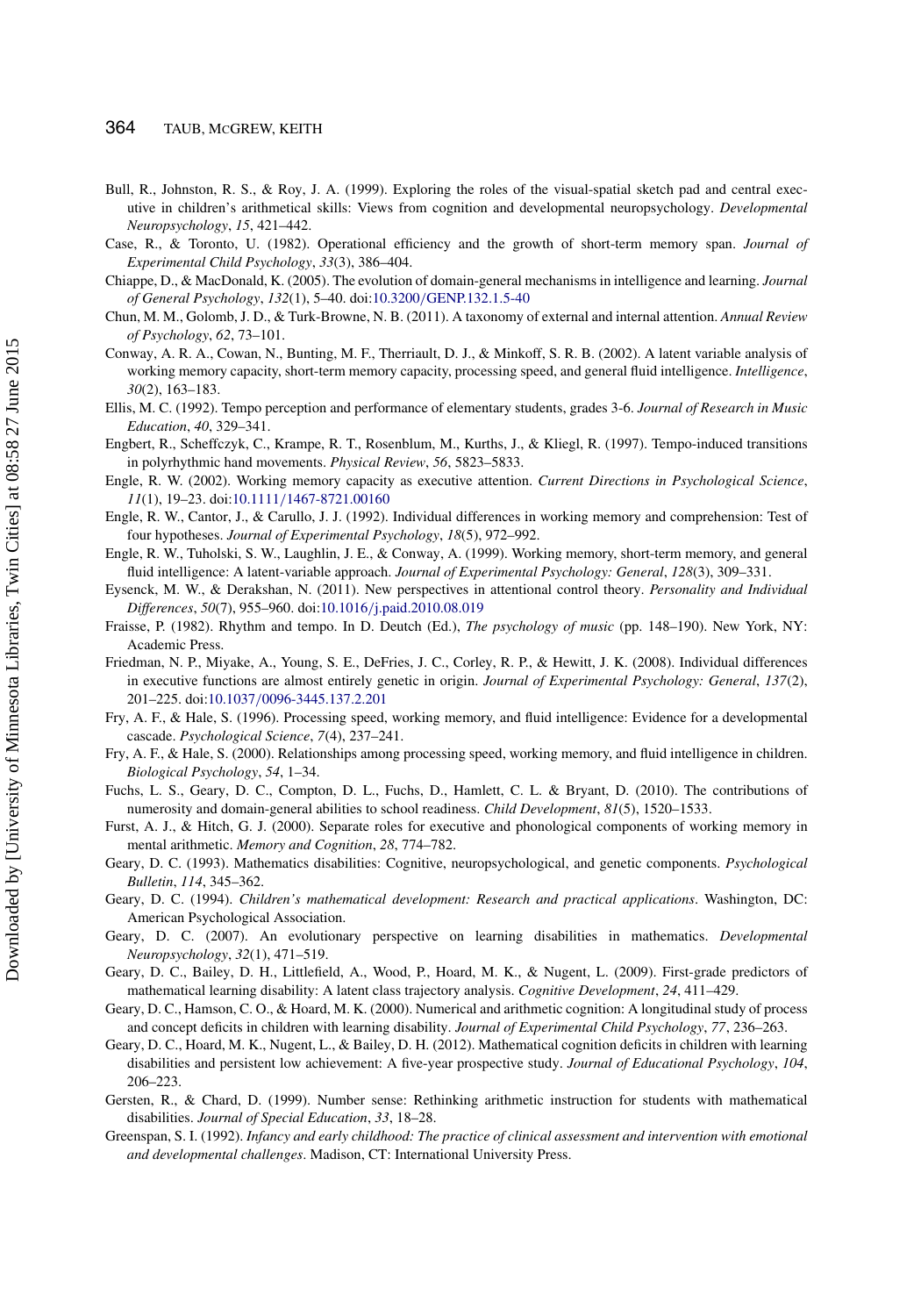- <span id="page-14-0"></span>Bull, R., Johnston, R. S., & Roy, J. A. (1999). Exploring the roles of the visual-spatial sketch pad and central executive in children's arithmetical skills: Views from cognition and developmental neuropsychology. *Developmental Neuropsychology*, *15*, 421–442.
- <span id="page-14-17"></span>Case, R., & Toronto, U. (1982). Operational efficiency and the growth of short-term memory span. *Journal of Experimental Child Psychology*, *33*(3), 386–404.
- <span id="page-14-20"></span>Chiappe, D., & MacDonald, K. (2005). The evolution of domain-general mechanisms in intelligence and learning. *Journal of General Psychology*, *132*(1), 5–40. doi:10.3200/[GENP.132.1.5-40](http://dx.doi.org/10.3200\gdef yes{no}$/$\gdef \ {$/$}\gdef no{no}\gdef yes{yes}\gdef \ \gdef \ {\ }\gdef no{no}\gdef yes{yes}{$/$\gdef \ {$/$}\gdef no{no}\gdef yes{yes}}GENP.132.1.5-40)
- <span id="page-14-22"></span>Chun, M. M., Golomb, J. D., & Turk-Browne, N. B. (2011). A taxonomy of external and internal attention. *Annual Review of Psychology*, *62*, 73–101.
- <span id="page-14-11"></span>Conway, A. R. A., Cowan, N., Bunting, M. F., Therriault, D. J., & Minkoff, S. R. B. (2002). A latent variable analysis of working memory capacity, short-term memory capacity, processing speed, and general fluid intelligence. *Intelligence*, *30*(2), 163–183.
- <span id="page-14-9"></span>Ellis, M. C. (1992). Tempo perception and performance of elementary students, grades 3-6. *Journal of Research in Music Education*, *40*, 329–341.
- <span id="page-14-18"></span>Engbert, R., Scheffczyk, C., Krampe, R. T., Rosenblum, M., Kurths, J., & Kliegl, R. (1997). Tempo-induced transitions in polyrhythmic hand movements. *Physical Review*, *56*, 5823–5833.
- <span id="page-14-14"></span>Engle, R. W. (2002). Working memory capacity as executive attention. *Current Directions in Psychological Science*, *11*(1), 19–23. doi:10.1111/[1467-8721.00160](http://dx.doi.org/10.1111\gdef yes{no}$/$\gdef \ {$/$}\gdef no{no}\gdef yes{yes}\gdef \ \gdef \ {\ }\gdef no{no}\gdef yes{yes}{$/$\gdef \ {$/$}\gdef no{no}\gdef yes{yes}}1467-8721.00160)
- <span id="page-14-10"></span>Engle, R. W., Cantor, J., & Carullo, J. J. (1992). Individual differences in working memory and comprehension: Test of four hypotheses. *Journal of Experimental Psychology*, *18*(5), 972–992.
- <span id="page-14-12"></span>Engle, R. W., Tuholski, S. W., Laughlin, J. E., & Conway, A. (1999). Working memory, short-term memory, and general fluid intelligence: A latent-variable approach. *Journal of Experimental Psychology: General*, *128*(3), 309–331.
- <span id="page-14-23"></span>Eysenck, M. W., & Derakshan, N. (2011). New perspectives in attentional control theory. *Personality and Individual Differences*, *50*(7), 955–960. doi:10.1016/[j.paid.2010.08.019](http://dx.doi.org/10.1016\gdef yes{no}$/$\gdef \ {$/$}\gdef no{no}\gdef yes{yes}\gdef \ \gdef \ {\ }\gdef no{no}\gdef yes{yes}{$/$\gdef \ {$/$}\gdef no{no}\gdef yes{yes}}j.paid.2010.08.019)
- <span id="page-14-19"></span>Fraisse, P. (1982). Rhythm and tempo. In D. Deutch (Ed.), *The psychology of music* (pp. 148–190). New York, NY: Academic Press.
- <span id="page-14-21"></span>Friedman, N. P., Miyake, A., Young, S. E., DeFries, J. C., Corley, R. P., & Hewitt, J. K. (2008). Individual differences in executive functions are almost entirely genetic in origin. *Journal of Experimental Psychology: General*, *137*(2), 201–225. doi:10.1037/[0096-3445.137.2.201](http://dx.doi.org/10.1037\gdef yes{no}$/$\gdef \ {$/$}\gdef no{no}\gdef yes{yes}\gdef \ \gdef \ {\ }\gdef no{no}\gdef yes{yes}{$/$\gdef \ {$/$}\gdef no{no}\gdef yes{yes}}0096-3445.137.2.201)
- <span id="page-14-13"></span>Fry, A. F., & Hale, S. (1996). Processing speed, working memory, and fluid intelligence: Evidence for a developmental cascade. *Psychological Science*, *7*(4), 237–241.
- Fry, A. F., & Hale, S. (2000). Relationships among processing speed, working memory, and fluid intelligence in children. *Biological Psychology*, *54*, 1–34.
- <span id="page-14-3"></span>Fuchs, L. S., Geary, D. C., Compton, D. L., Fuchs, D., Hamlett, C. L. & Bryant, D. (2010). The contributions of numerosity and domain-general abilities to school readiness. *Child Development*, *81*(5), 1520–1533.
- <span id="page-14-15"></span>Furst, A. J., & Hitch, G. J. (2000). Separate roles for executive and phonological components of working memory in mental arithmetic. *Memory and Cognition*, *28*, 774–782.
- <span id="page-14-1"></span>Geary, D. C. (1993). Mathematics disabilities: Cognitive, neuropsychological, and genetic components. *Psychological Bulletin*, *114*, 345–362.
- <span id="page-14-2"></span>Geary, D. C. (1994). *Children's mathematical development: Research and practical applications*. Washington, DC: American Psychological Association.
- <span id="page-14-5"></span>Geary, D. C. (2007). An evolutionary perspective on learning disabilities in mathematics. *Developmental Neuropsychology*, *32*(1), 471–519.
- <span id="page-14-6"></span>Geary, D. C., Bailey, D. H., Littlefield, A., Wood, P., Hoard, M. K., & Nugent, L. (2009). First-grade predictors of mathematical learning disability: A latent class trajectory analysis. *Cognitive Development*, *24*, 411–429.
- <span id="page-14-16"></span>Geary, D. C., Hamson, C. O., & Hoard, M. K. (2000). Numerical and arithmetic cognition: A longitudinal study of process and concept deficits in children with learning disability. *Journal of Experimental Child Psychology*, *77*, 236–263.
- <span id="page-14-7"></span>Geary, D. C., Hoard, M. K., Nugent, L., & Bailey, D. H. (2012). Mathematical cognition deficits in children with learning disabilities and persistent low achievement: A five-year prospective study. *Journal of Educational Psychology*, *104*, 206–223.
- <span id="page-14-4"></span>Gersten, R., & Chard, D. (1999). Number sense: Rethinking arithmetic instruction for students with mathematical disabilities. *Journal of Special Education*, *33*, 18–28.
- <span id="page-14-8"></span>Greenspan, S. I. (1992). *Infancy and early childhood: The practice of clinical assessment and intervention with emotional and developmental challenges*. Madison, CT: International University Press.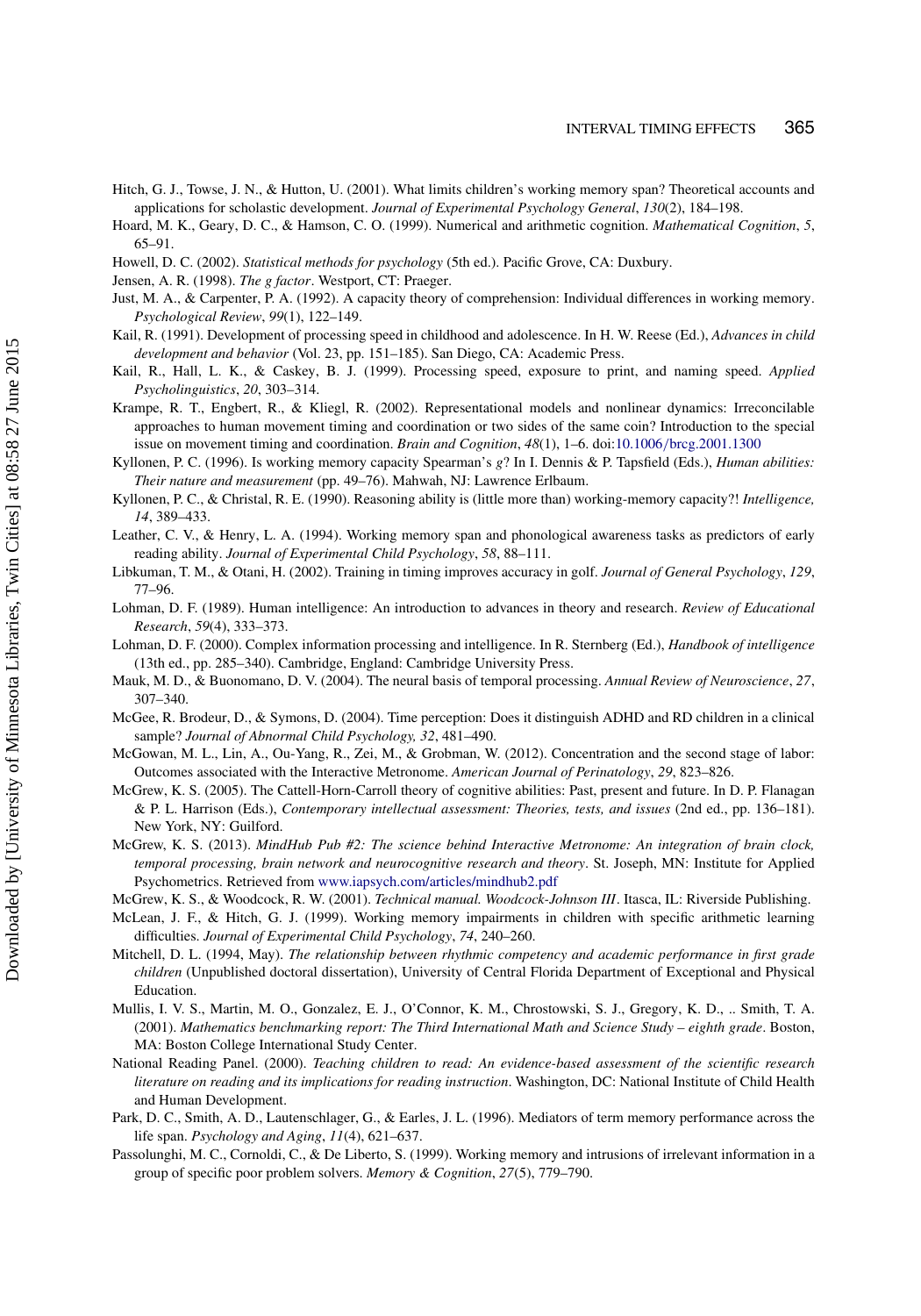- <span id="page-15-6"></span>Hitch, G. J., Towse, J. N., & Hutton, U. (2001). What limits children's working memory span? Theoretical accounts and applications for scholastic development. *Journal of Experimental Psychology General*, *130*(2), 184–198.
- <span id="page-15-1"></span>Hoard, M. K., Geary, D. C., & Hamson, C. O. (1999). Numerical and arithmetic cognition. *Mathematical Cognition*, *5*, 65–91.
- <span id="page-15-21"></span>Howell, D. C. (2002). *Statistical methods for psychology* (5th ed.). Pacific Grove, CA: Duxbury.
- <span id="page-15-23"></span>Jensen, A. R. (1998). *The g factor*. Westport, CT: Praeger.
- <span id="page-15-5"></span>Just, M. A., & Carpenter, P. A. (1992). A capacity theory of comprehension: Individual differences in working memory. *Psychological Review*, *99*(1), 122–149.
- <span id="page-15-13"></span>Kail, R. (1991). Development of processing speed in childhood and adolescence. In H. W. Reese (Ed.), *Advances in child development and behavior* (Vol. 23, pp. 151–185). San Diego, CA: Academic Press.
- <span id="page-15-14"></span>Kail, R., Hall, L. K., & Caskey, B. J. (1999). Processing speed, exposure to print, and naming speed. *Applied Psycholinguistics*, *20*, 303–314.
- <span id="page-15-16"></span>Krampe, R. T., Engbert, R., & Kliegl, R. (2002). Representational models and nonlinear dynamics: Irreconcilable approaches to human movement timing and coordination or two sides of the same coin? Introduction to the special issue on movement timing and coordination. *Brain and Cognition*, *48*(1), 1–6. doi:10.1006/[brcg.2001.1300](http://dx.doi.org/10.1006\gdef yes{no}$/$\gdef \ {$/$}\gdef no{no}\gdef yes{yes}\gdef \ \gdef \ {\ }\gdef no{no}\gdef yes{yes}{$/$\gdef \ {$/$}\gdef no{no}\gdef yes{yes}}brcg.2001.1300)
- <span id="page-15-3"></span>Kyllonen, P. C. (1996). Is working memory capacity Spearman's *g*? In I. Dennis & P. Tapsfield (Eds.), *Human abilities: Their nature and measurement* (pp. 49–76). Mahwah, NJ: Lawrence Erlbaum.
- <span id="page-15-8"></span>Kyllonen, P. C., & Christal, R. E. (1990). Reasoning ability is (little more than) working-memory capacity?! *Intelligence, 14*, 389–433.
- <span id="page-15-7"></span>Leather, C. V., & Henry, L. A. (1994). Working memory span and phonological awareness tasks as predictors of early reading ability. *Journal of Experimental Child Psychology*, *58*, 88–111.
- <span id="page-15-19"></span>Libkuman, T. M., & Otani, H. (2002). Training in timing improves accuracy in golf. *Journal of General Psychology*, *129*, 77–96.
- <span id="page-15-15"></span>Lohman, D. F. (1989). Human intelligence: An introduction to advances in theory and research. *Review of Educational Research*, *59*(4), 333–373.
- <span id="page-15-10"></span>Lohman, D. F. (2000). Complex information processing and intelligence. In R. Sternberg (Ed.), *Handbook of intelligence* (13th ed., pp. 285–340). Cambridge, England: Cambridge University Press.
- <span id="page-15-17"></span>Mauk, M. D., & Buonomano, D. V. (2004). The neural basis of temporal processing. *Annual Review of Neuroscience*, *27*, 307–340.
- <span id="page-15-24"></span>McGee, R. Brodeur, D., & Symons, D. (2004). Time perception: Does it distinguish ADHD and RD children in a clinical sample? *Journal of Abnormal Child Psychology, 32*, 481–490.
- McGowan, M. L., Lin, A., Ou-Yang, R., Zei, M., & Grobman, W. (2012). Concentration and the second stage of labor: Outcomes associated with the Interactive Metronome. *American Journal of Perinatology*, *29*, 823–826.
- <span id="page-15-4"></span>McGrew, K. S. (2005). The Cattell-Horn-Carroll theory of cognitive abilities: Past, present and future. In D. P. Flanagan & P. L. Harrison (Eds.), *Contemporary intellectual assessment: Theories, tests, and issues* (2nd ed., pp. 136–181). New York, NY: Guilford.
- <span id="page-15-18"></span>McGrew, K. S. (2013). *MindHub Pub #2: The science behind Interactive Metronome: An integration of brain clock, temporal processing, brain network and neurocognitive research and theory*. St. Joseph, MN: Institute for Applied Psychometrics. Retrieved from <www.iapsych.com/articles/mindhub2.pdf>
- <span id="page-15-20"></span>McGrew, K. S., & Woodcock, R. W. (2001). *Technical manual. Woodcock-Johnson III*. Itasca, IL: Riverside Publishing.
- <span id="page-15-11"></span>McLean, J. F., & Hitch, G. J. (1999). Working memory impairments in children with specific arithmetic learning difficulties. *Journal of Experimental Child Psychology*, *74*, 240–260.
- <span id="page-15-2"></span>Mitchell, D. L. (1994, May). *The relationship between rhythmic competency and academic performance in first grade children* (Unpublished doctoral dissertation), University of Central Florida Department of Exceptional and Physical Education.
- <span id="page-15-0"></span>Mullis, I. V. S., Martin, M. O., Gonzalez, E. J., O'Connor, K. M., Chrostowski, S. J., Gregory, K. D., .. Smith, T. A. (2001). *Mathematics benchmarking report: The Third International Math and Science Study – eighth grade*. Boston, MA: Boston College International Study Center.
- <span id="page-15-22"></span>National Reading Panel. (2000). *Teaching children to read: An evidence-based assessment of the scientific research literature on reading and its implications for reading instruction*. Washington, DC: National Institute of Child Health and Human Development.
- <span id="page-15-9"></span>Park, D. C., Smith, A. D., Lautenschlager, G., & Earles, J. L. (1996). Mediators of term memory performance across the life span. *Psychology and Aging*, *11*(4), 621–637.
- <span id="page-15-12"></span>Passolunghi, M. C., Cornoldi, C., & De Liberto, S. (1999). Working memory and intrusions of irrelevant information in a group of specific poor problem solvers. *Memory & Cognition*, *27*(5), 779–790.